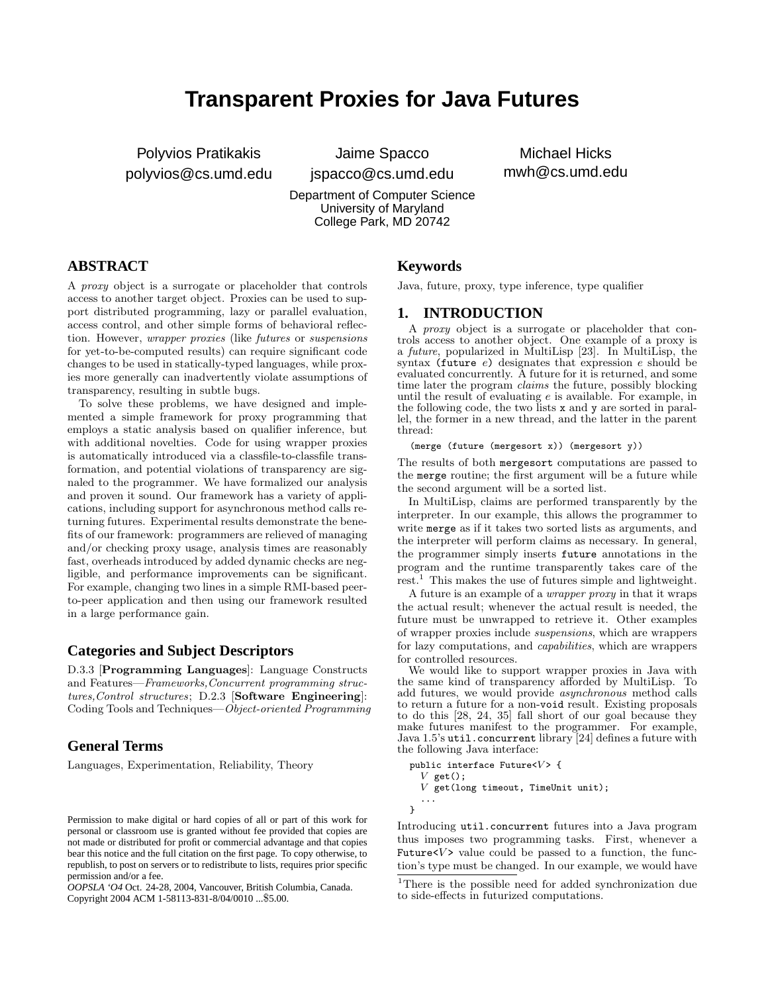# **Transparent Proxies for Java Futures**

Polyvios Pratikakis polyvios@cs.umd.edu

Jaime Spacco jspacco@cs.umd.edu

Michael Hicks mwh@cs.umd.edu

Department of Computer Science University of Maryland College Park, MD 20742

## **ABSTRACT**

A proxy object is a surrogate or placeholder that controls access to another target object. Proxies can be used to support distributed programming, lazy or parallel evaluation, access control, and other simple forms of behavioral reflection. However, wrapper proxies (like futures or suspensions for yet-to-be-computed results) can require significant code changes to be used in statically-typed languages, while proxies more generally can inadvertently violate assumptions of transparency, resulting in subtle bugs.

To solve these problems, we have designed and implemented a simple framework for proxy programming that employs a static analysis based on qualifier inference, but with additional novelties. Code for using wrapper proxies is automatically introduced via a classfile-to-classfile transformation, and potential violations of transparency are signaled to the programmer. We have formalized our analysis and proven it sound. Our framework has a variety of applications, including support for asynchronous method calls returning futures. Experimental results demonstrate the benefits of our framework: programmers are relieved of managing and/or checking proxy usage, analysis times are reasonably fast, overheads introduced by added dynamic checks are negligible, and performance improvements can be significant. For example, changing two lines in a simple RMI-based peerto-peer application and then using our framework resulted in a large performance gain.

## **Categories and Subject Descriptors**

D.3.3 [Programming Languages]: Language Constructs and Features—Frameworks,Concurrent programming structures,Control structures; D.2.3 [Software Engineering]: Coding Tools and Techniques—Object-oriented Programming

## **General Terms**

Languages, Experimentation, Reliability, Theory

*OOPSLA 'O4* Oct. 24-28, 2004, Vancouver, British Columbia, Canada. Copyright 2004 ACM 1-58113-831-8/04/0010 ...\$5.00.

## **Keywords**

Java, future, proxy, type inference, type qualifier

#### **1. INTRODUCTION**

A proxy object is a surrogate or placeholder that controls access to another object. One example of a proxy is a future, popularized in MultiLisp [23]. In MultiLisp, the syntax (future e) designates that expression e should be evaluated concurrently. A future for it is returned, and some time later the program claims the future, possibly blocking until the result of evaluating e is available. For example, in the following code, the two lists x and y are sorted in parallel, the former in a new thread, and the latter in the parent thread:

(merge (future (mergesort x)) (mergesort y))

The results of both mergesort computations are passed to the merge routine; the first argument will be a future while the second argument will be a sorted list.

In MultiLisp, claims are performed transparently by the interpreter. In our example, this allows the programmer to write merge as if it takes two sorted lists as arguments, and the interpreter will perform claims as necessary. In general, the programmer simply inserts future annotations in the program and the runtime transparently takes care of the rest.<sup>1</sup> This makes the use of futures simple and lightweight.

A future is an example of a wrapper proxy in that it wraps the actual result; whenever the actual result is needed, the future must be unwrapped to retrieve it. Other examples of wrapper proxies include suspensions, which are wrappers for lazy computations, and capabilities, which are wrappers for controlled resources.

We would like to support wrapper proxies in Java with the same kind of transparency afforded by MultiLisp. To add futures, we would provide asynchronous method calls to return a future for a non-void result. Existing proposals to do this [28, 24, 35] fall short of our goal because they make futures manifest to the programmer. For example, Java 1.5's util.concurrent library [24] defines a future with the following Java interface:

```
public interface Future<V> {
 V get();
  V get(long timeout, TimeUnit unit);
  ...
}
```
Introducing util.concurrent futures into a Java program thus imposes two programming tasks. First, whenever a Future $\langle V \rangle$  value could be passed to a function, the function's type must be changed. In our example, we would have

Permission to make digital or hard copies of all or part of this work for personal or classroom use is granted without fee provided that copies are not made or distributed for profit or commercial advantage and that copies bear this notice and the full citation on the first page. To copy otherwise, to republish, to post on servers or to redistribute to lists, requires prior specific permission and/or a fee.

<sup>&</sup>lt;sup>1</sup>There is the possible need for added synchronization due to side-effects in futurized computations.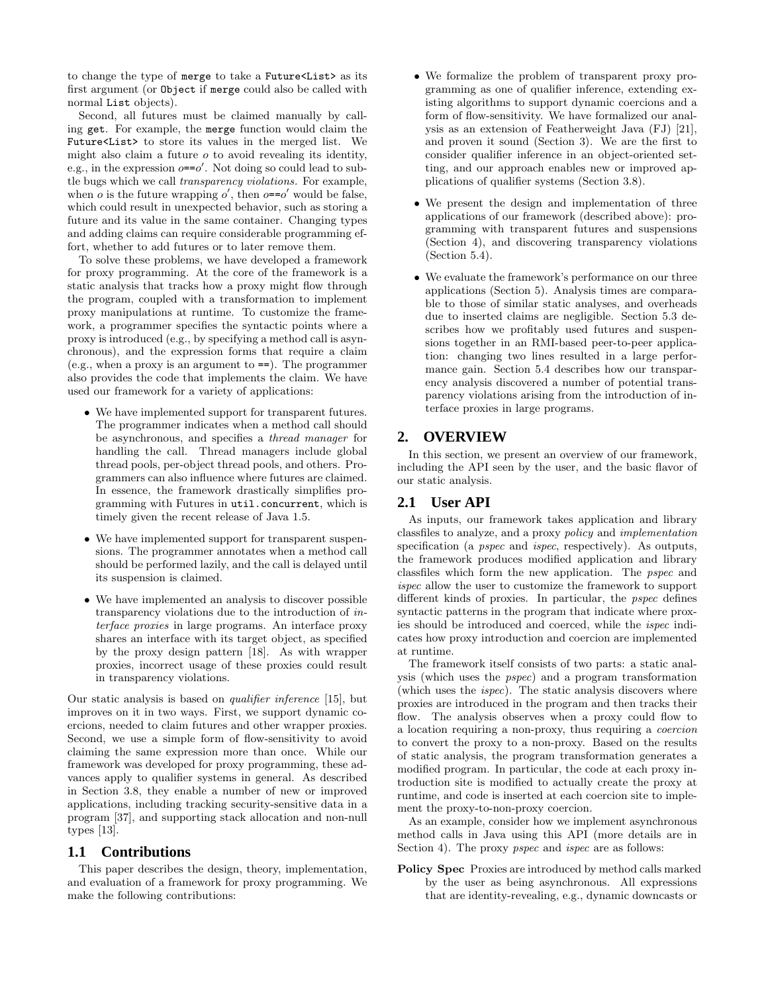to change the type of merge to take a Future<List> as its first argument (or Object if merge could also be called with normal List objects).

Second, all futures must be claimed manually by calling get. For example, the merge function would claim the Future<List> to store its values in the merged list. We might also claim a future  $\sigma$  to avoid revealing its identity, e.g., in the expression  $o==o'$ . Not doing so could lead to subtle bugs which we call transparency violations. For example, when  $o$  is the future wrapping  $o'$ , then  $o=-o'$  would be false, which could result in unexpected behavior, such as storing a future and its value in the same container. Changing types and adding claims can require considerable programming effort, whether to add futures or to later remove them.

To solve these problems, we have developed a framework for proxy programming. At the core of the framework is a static analysis that tracks how a proxy might flow through the program, coupled with a transformation to implement proxy manipulations at runtime. To customize the framework, a programmer specifies the syntactic points where a proxy is introduced (e.g., by specifying a method call is asynchronous), and the expression forms that require a claim (e.g., when a proxy is an argument to ==). The programmer also provides the code that implements the claim. We have used our framework for a variety of applications:

- We have implemented support for transparent futures. The programmer indicates when a method call should be asynchronous, and specifies a thread manager for handling the call. Thread managers include global thread pools, per-object thread pools, and others. Programmers can also influence where futures are claimed. In essence, the framework drastically simplifies programming with Futures in util.concurrent, which is timely given the recent release of Java 1.5.
- We have implemented support for transparent suspensions. The programmer annotates when a method call should be performed lazily, and the call is delayed until its suspension is claimed.
- We have implemented an analysis to discover possible transparency violations due to the introduction of interface proxies in large programs. An interface proxy shares an interface with its target object, as specified by the proxy design pattern [18]. As with wrapper proxies, incorrect usage of these proxies could result in transparency violations.

Our static analysis is based on qualifier inference [15], but improves on it in two ways. First, we support dynamic coercions, needed to claim futures and other wrapper proxies. Second, we use a simple form of flow-sensitivity to avoid claiming the same expression more than once. While our framework was developed for proxy programming, these advances apply to qualifier systems in general. As described in Section 3.8, they enable a number of new or improved applications, including tracking security-sensitive data in a program [37], and supporting stack allocation and non-null types [13].

## **1.1 Contributions**

This paper describes the design, theory, implementation, and evaluation of a framework for proxy programming. We make the following contributions:

- We formalize the problem of transparent proxy programming as one of qualifier inference, extending existing algorithms to support dynamic coercions and a form of flow-sensitivity. We have formalized our analysis as an extension of Featherweight Java (FJ) [21], and proven it sound (Section 3). We are the first to consider qualifier inference in an object-oriented setting, and our approach enables new or improved applications of qualifier systems (Section 3.8).
- We present the design and implementation of three applications of our framework (described above): programming with transparent futures and suspensions (Section 4), and discovering transparency violations (Section 5.4).
- We evaluate the framework's performance on our three applications (Section 5). Analysis times are comparable to those of similar static analyses, and overheads due to inserted claims are negligible. Section 5.3 describes how we profitably used futures and suspensions together in an RMI-based peer-to-peer application: changing two lines resulted in a large performance gain. Section 5.4 describes how our transparency analysis discovered a number of potential transparency violations arising from the introduction of interface proxies in large programs.

## **2. OVERVIEW**

In this section, we present an overview of our framework, including the API seen by the user, and the basic flavor of our static analysis.

#### **2.1 User API**

As inputs, our framework takes application and library classfiles to analyze, and a proxy policy and implementation specification (a *pspec* and *ispec*, respectively). As outputs, the framework produces modified application and library classfiles which form the new application. The pspec and ispec allow the user to customize the framework to support different kinds of proxies. In particular, the pspec defines syntactic patterns in the program that indicate where proxies should be introduced and coerced, while the ispec indicates how proxy introduction and coercion are implemented at runtime.

The framework itself consists of two parts: a static analysis (which uses the pspec) and a program transformation (which uses the ispec). The static analysis discovers where proxies are introduced in the program and then tracks their flow. The analysis observes when a proxy could flow to a location requiring a non-proxy, thus requiring a coercion to convert the proxy to a non-proxy. Based on the results of static analysis, the program transformation generates a modified program. In particular, the code at each proxy introduction site is modified to actually create the proxy at runtime, and code is inserted at each coercion site to implement the proxy-to-non-proxy coercion.

As an example, consider how we implement asynchronous method calls in Java using this API (more details are in Section 4). The proxy pspec and ispec are as follows:

Policy Spec Proxies are introduced by method calls marked by the user as being asynchronous. All expressions that are identity-revealing, e.g., dynamic downcasts or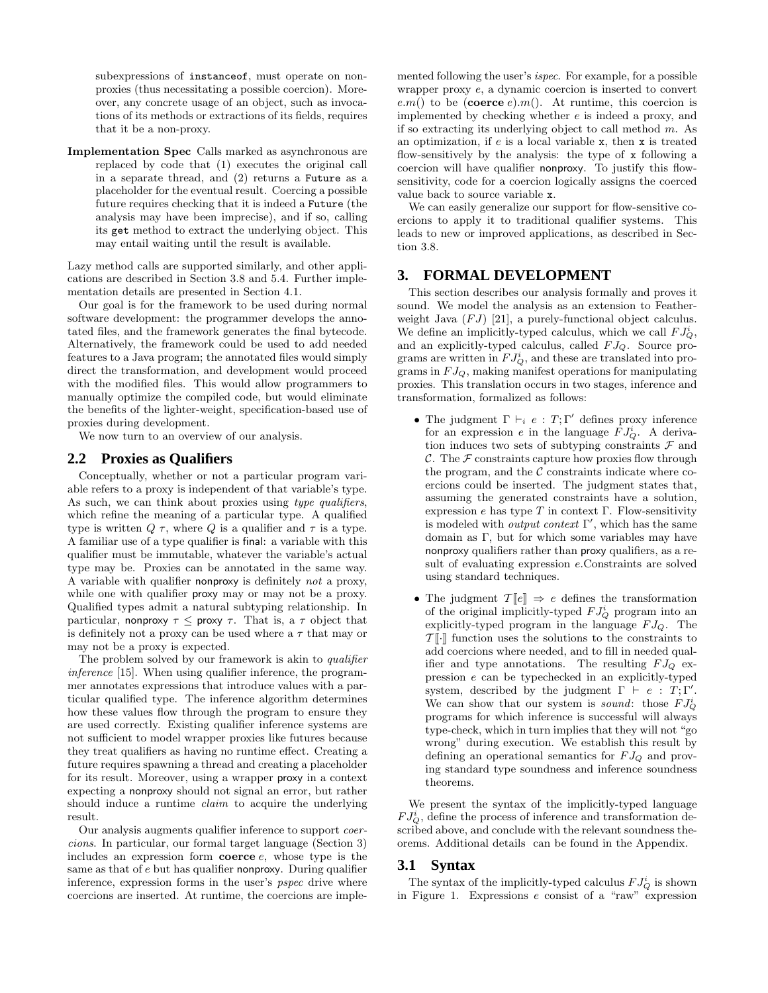subexpressions of instanceof, must operate on nonproxies (thus necessitating a possible coercion). Moreover, any concrete usage of an object, such as invocations of its methods or extractions of its fields, requires that it be a non-proxy.

Implementation Spec Calls marked as asynchronous are replaced by code that (1) executes the original call in a separate thread, and (2) returns a Future as a placeholder for the eventual result. Coercing a possible future requires checking that it is indeed a Future (the analysis may have been imprecise), and if so, calling its get method to extract the underlying object. This may entail waiting until the result is available.

Lazy method calls are supported similarly, and other applications are described in Section 3.8 and 5.4. Further implementation details are presented in Section 4.1.

Our goal is for the framework to be used during normal software development: the programmer develops the annotated files, and the framework generates the final bytecode. Alternatively, the framework could be used to add needed features to a Java program; the annotated files would simply direct the transformation, and development would proceed with the modified files. This would allow programmers to manually optimize the compiled code, but would eliminate the benefits of the lighter-weight, specification-based use of proxies during development.

We now turn to an overview of our analysis.

## **2.2 Proxies as Qualifiers**

Conceptually, whether or not a particular program variable refers to a proxy is independent of that variable's type. As such, we can think about proxies using type qualifiers, which refine the meaning of a particular type. A qualified type is written  $Q \tau$ , where  $Q$  is a qualifier and  $\tau$  is a type. A familiar use of a type qualifier is final: a variable with this qualifier must be immutable, whatever the variable's actual type may be. Proxies can be annotated in the same way. A variable with qualifier nonproxy is definitely not a proxy, while one with qualifier proxy may or may not be a proxy. Qualified types admit a natural subtyping relationship. In particular, nonproxy  $\tau \leq$  proxy  $\tau$ . That is, a  $\tau$  object that is definitely not a proxy can be used where a  $\tau$  that may or may not be a proxy is expected.

The problem solved by our framework is akin to *qualifier* inference [15]. When using qualifier inference, the programmer annotates expressions that introduce values with a particular qualified type. The inference algorithm determines how these values flow through the program to ensure they are used correctly. Existing qualifier inference systems are not sufficient to model wrapper proxies like futures because they treat qualifiers as having no runtime effect. Creating a future requires spawning a thread and creating a placeholder for its result. Moreover, using a wrapper proxy in a context expecting a nonproxy should not signal an error, but rather should induce a runtime *claim* to acquire the underlying result.

Our analysis augments qualifier inference to support coercions. In particular, our formal target language (Section 3) includes an expression form coerce  $e$ , whose type is the same as that of  $e$  but has qualifier nonproxy. During qualifier inference, expression forms in the user's pspec drive where coercions are inserted. At runtime, the coercions are implemented following the user's ispec. For example, for a possible wrapper proxy e, a dynamic coercion is inserted to convert  $e.m()$  to be (coerce  $e$ ). $m()$ . At runtime, this coercion is implemented by checking whether  $e$  is indeed a proxy, and if so extracting its underlying object to call method m. As an optimization, if  $e$  is a local variable x, then x is treated flow-sensitively by the analysis: the type of x following a coercion will have qualifier nonproxy. To justify this flowsensitivity, code for a coercion logically assigns the coerced value back to source variable x.

We can easily generalize our support for flow-sensitive coercions to apply it to traditional qualifier systems. This leads to new or improved applications, as described in Section 3.8.

## **3. FORMAL DEVELOPMENT**

This section describes our analysis formally and proves it sound. We model the analysis as an extension to Featherweight Java  $(FJ)$  [21], a purely-functional object calculus. We define an implicitly-typed calculus, which we call  $FJ_Q^i$ , and an explicitly-typed calculus, called  $FJ_Q$ . Source programs are written in  $FJ_Q^i$ , and these are translated into programs in  $FJ_Q$ , making manifest operations for manipulating proxies. This translation occurs in two stages, inference and transformation, formalized as follows:

- The judgment  $\Gamma \vdash_i e : T; \Gamma'$  defines proxy inference for an expression e in the language  $FJ_Q^i$ . A derivation induces two sets of subtyping constraints  $\mathcal F$  and C. The  $\mathcal F$  constraints capture how proxies flow through the program, and the  $\mathcal C$  constraints indicate where coercions could be inserted. The judgment states that, assuming the generated constraints have a solution, expression e has type T in context  $\Gamma$ . Flow-sensitivity is modeled with *output context*  $\Gamma'$ , which has the same domain as Γ, but for which some variables may have nonproxy qualifiers rather than proxy qualifiers, as a result of evaluating expression e.Constraints are solved using standard techniques.
- The judgment  $\mathcal{T}[e] \Rightarrow e$  defines the transformation of the original implicitly-typed  $FJ_Q^i$  program into an explicitly-typed program in the language  $FJ_{Q}$ . The  $\mathcal{T}$ . function uses the solutions to the constraints to add coercions where needed, and to fill in needed qualifier and type annotations. The resulting  $FJ_Q$  expression e can be typechecked in an explicitly-typed system, described by the judgment  $\Gamma \vdash e : T; \Gamma'$ . We can show that our system is *sound*: those  $FJ_Q^i$ programs for which inference is successful will always type-check, which in turn implies that they will not "go wrong" during execution. We establish this result by defining an operational semantics for  $FJ_Q$  and proving standard type soundness and inference soundness theorems.

We present the syntax of the implicitly-typed language  $FJ_Q^i$ , define the process of inference and transformation described above, and conclude with the relevant soundness theorems. Additional details can be found in the Appendix.

## **3.1 Syntax**

The syntax of the implicitly-typed calculus  $FJ_Q^i$  is shown in Figure 1. Expressions e consist of a "raw" expression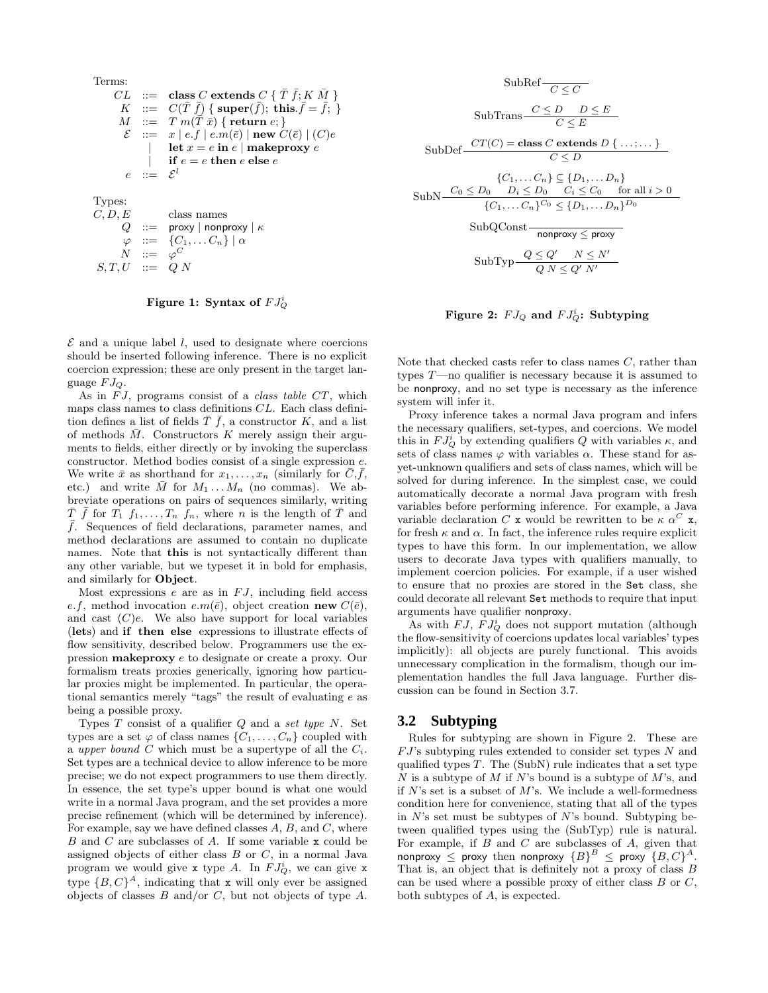Terms:  
\n
$$
CL \ ::= \ \text{class } C \text{ extends } C \{ \overline{T} \overline{f}; K \overline{M} \}
$$
\n
$$
K \ ::= \ C(\overline{T} \overline{f}) \{ \text{ super}(\overline{f}); \text{ this.} \overline{f} = \overline{f}; \}
$$
\n
$$
M \ ::= \ T \ m(\overline{T} \overline{x}) \{ \text{ return } e; \}
$$
\n
$$
\mathcal{E} \ ::= \ x \mid e.f \mid e.m(\overline{e}) \mid \text{new } C(\overline{e}) \mid (C)e
$$
\n
$$
\mid \text{ let } x = e \text{ in } e \mid \text{makeprox } e
$$
\n
$$
\mid \text{ if } e = e \text{ then } e \text{ else } e
$$
\n
$$
e \ ::= \ \mathcal{E}^l
$$
\nThus,

Types:

| C, D, E     |                           | class names                            |  |  |  |
|-------------|---------------------------|----------------------------------------|--|--|--|
|             | $\mathbf{H} = \mathbf{H}$ | proxy   nonproxy $\kappa$              |  |  |  |
| $\varphi$   |                           | $ ::= \{C_1, \ldots C_n\} \mid \alpha$ |  |  |  |
| N           | $\equiv$                  |                                        |  |  |  |
| $S,T,U ::=$ |                           | Q N                                    |  |  |  |

Figure 1: Syntax of  $FJ_Q^i$ 

 $\mathcal E$  and a unique label l, used to designate where coercions should be inserted following inference. There is no explicit coercion expression; these are only present in the target language  $FJ_{\mathcal{O}}$ .

As in  $FJ$ , programs consist of a *class table CT*, which maps class names to class definitions CL. Each class definition defines a list of fields  $\overline{T} \bar{f}$ , a constructor K, and a list of methods  $\overline{M}$ . Constructors K merely assign their arguments to fields, either directly or by invoking the superclass constructor. Method bodies consist of a single expression e. We write  $\bar{x}$  as shorthand for  $x_1, \ldots, x_n$  (similarly for  $\bar{C}, \bar{f},$ etc.) and write  $\overline{M}$  for  $M_1 \ldots M_n$  (no commas). We abbreviate operations on pairs of sequences similarly, writing  $\overline{T}$   $\overline{f}$  for  $T_1$   $f_1, \ldots, T_n$   $f_n$ , where n is the length of  $\overline{T}$  and  $\bar{f}$ . Sequences of field declarations, parameter names, and method declarations are assumed to contain no duplicate names. Note that this is not syntactically different than any other variable, but we typeset it in bold for emphasis, and similarly for Object.

Most expressions  $e$  are as in  $FJ$ , including field access e.f, method invocation e.m( $\bar{e}$ ), object creation new  $C(\bar{e})$ , and cast  $(C)e$ . We also have support for local variables (lets) and if then else expressions to illustrate effects of flow sensitivity, described below. Programmers use the expression makeproxy e to designate or create a proxy. Our formalism treats proxies generically, ignoring how particular proxies might be implemented. In particular, the operational semantics merely "tags" the result of evaluating  $e$  as being a possible proxy.

Types  $T$  consist of a qualifier  $Q$  and a set type  $N$ . Set types are a set  $\varphi$  of class names  $\{C_1, \ldots, C_n\}$  coupled with a upper bound C which must be a supertype of all the  $C_i$ . Set types are a technical device to allow inference to be more precise; we do not expect programmers to use them directly. In essence, the set type's upper bound is what one would write in a normal Java program, and the set provides a more precise refinement (which will be determined by inference). For example, say we have defined classes  $A, B$ , and  $C$ , where  $B$  and  $C$  are subclasses of  $A$ . If some variable  $x$  could be assigned objects of either class B or C, in a normal Java program we would give x type A. In  $FJ_Q^i$ , we can give x type  $\{B, C\}^A$ , indicating that x will only ever be assigned objects of classes  $B$  and/or  $C$ , but not objects of type  $A$ .

SubRef 
$$
C \leq C
$$
\nSubTrans 
$$
C \leq D
$$
\nSubOrans 
$$
C \leq D
$$
\nSubDef 
$$
C \leq E
$$
\nSubDef 
$$
C \leq C
$$
\n
$$
\{C_1, \ldots C_n\} \subseteq \{D_1, \ldots D_n\}
$$
\nSubN 
$$
C_0 \leq D_0
$$
\n
$$
D_i \leq D_0
$$
\n
$$
C_i \leq C_0 \quad \text{for all } i > 0
$$
\nSubQConst 
$$
T = \text{converg} \quad \text{SubQConst}
$$
\nSubGVP

Figure 2:  $FJ_Q$  and  $FJ_Q^i$ : Subtyping

Note that checked casts refer to class names  $C$ , rather than types T—no qualifier is necessary because it is assumed to be nonproxy, and no set type is necessary as the inference system will infer it.

Proxy inference takes a normal Java program and infers the necessary qualifiers, set-types, and coercions. We model this in  $FJ_Q^i$  by extending qualifiers Q with variables  $\kappa$ , and sets of class names  $\varphi$  with variables  $\alpha$ . These stand for asyet-unknown qualifiers and sets of class names, which will be solved for during inference. In the simplest case, we could automatically decorate a normal Java program with fresh variables before performing inference. For example, a Java variable declaration C x would be rewritten to be  $\kappa \alpha^C$  x, for fresh  $\kappa$  and  $\alpha$ . In fact, the inference rules require explicit types to have this form. In our implementation, we allow users to decorate Java types with qualifiers manually, to implement coercion policies. For example, if a user wished to ensure that no proxies are stored in the Set class, she could decorate all relevant Set methods to require that input arguments have qualifier nonproxy.

As with  $FJ$ ,  $FJ_Q^i$  does not support mutation (although the flow-sensitivity of coercions updates local variables' types implicitly): all objects are purely functional. This avoids unnecessary complication in the formalism, though our implementation handles the full Java language. Further discussion can be found in Section 3.7.

## **3.2 Subtyping**

Rules for subtyping are shown in Figure 2. These are  $FJ$ 's subtyping rules extended to consider set types  $N$  and qualified types  $T$ . The (SubN) rule indicates that a set type N is a subtype of M if N's bound is a subtype of  $M$ 's, and if  $N$ 's set is a subset of  $M$ 's. We include a well-formedness condition here for convenience, stating that all of the types in  $N$ 's set must be subtypes of  $N$ 's bound. Subtyping between qualified types using the (SubTyp) rule is natural. For example, if  $B$  and  $C$  are subclasses of  $A$ , given that nonproxy  $\leq$  proxy then nonproxy  ${B}^B \leq$  proxy  ${B,C}^A$ . That is, an object that is definitely not a proxy of class B can be used where a possible proxy of either class  $B$  or  $C$ , both subtypes of A, is expected.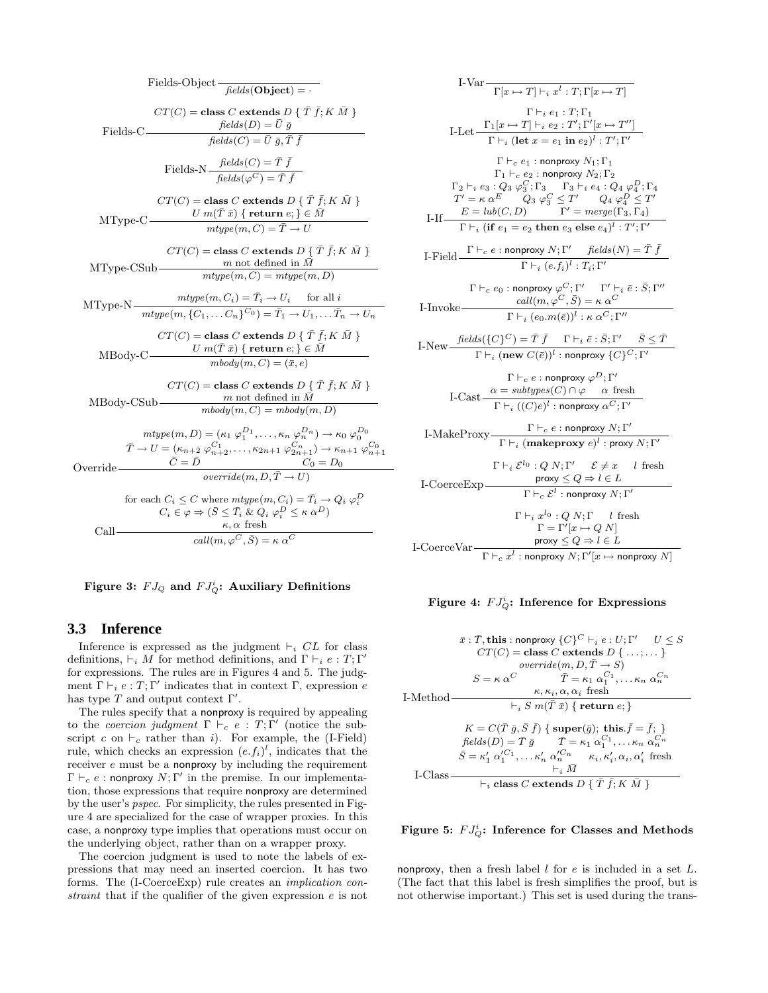| Fields-Object $\frac{f_{\text{fields}}(\text{Object})}{\text{fields}(\text{Object})}$                                                                                                                                                                                                                                                                                         |
|-------------------------------------------------------------------------------------------------------------------------------------------------------------------------------------------------------------------------------------------------------------------------------------------------------------------------------------------------------------------------------|
| $CT(C) = \text{class } C \text{ extends } D \{ \overline{T} \overline{f} ; K \overline{M} \}$<br>$fields(D) = \overline{U} \overline{g}$<br>Fields-C-<br>$\overline{fields}(C) = \overline{U} \ \overline{q}, \overline{T} \ \overline{f}$                                                                                                                                    |
| Fields-N $\frac{\text{fields}(C) = \bar{T} \bar{f}}{\text{fields}(\omega^C) = \bar{T} \bar{f}}$                                                                                                                                                                                                                                                                               |
| $CT(C) = \text{class } C \text{ extends } D \{ \bar{T} \bar{f} ; K \bar{M} \}$<br>$U m(\bar T \bar x) \{$ return $e; \} \in \bar M$<br>$MType-C$ —<br>$mtype(m, C) = \overline{T} \rightarrow U$                                                                                                                                                                              |
| $CT(C) = \text{class } C \text{ extends } D \{ \bar{T} \bar{f} ; K \bar{M} \}$<br>m not defined in $\overline{M}$<br>MType-CSub-<br>$\overline{mtype(m,C)} = mtype(m,D)$                                                                                                                                                                                                      |
| MType-N $\frac{mtype(m, C_i) = \bar{T}_i \rightarrow U_i \quad \text{for all } i}{mtype(m, \{C_1, \ldots C_n\}^{C_0}) = \bar{T}_1 \rightarrow U_1, \ldots \bar{T}_n \rightarrow U_n}$                                                                                                                                                                                         |
| $CT(C) = \text{class } C \text{ extends } D \{ \overline{T} \overline{f} ; K \overline{M} \}$<br>$U m(\bar{T} \bar{x}) \{$ return $e; \} \in \bar{M}$<br>$MBody-C$ —<br>$mbody(m, C) = (\bar{x}, e)$                                                                                                                                                                          |
| $CT(C) = \text{class } C \text{ extends } D \{ \bar{T} \bar{f} ; K \bar{M} \}$<br>m not defined in $\overline{M}$<br>MBody-CSub-<br>$mbody(m, C) = mbody(m, D)$                                                                                                                                                                                                               |
| $mtype(m, D) = (\kappa_1 \varphi_1^{D_1}, \ldots, \kappa_n \varphi_n^{D_n}) \to \kappa_0 \varphi_0^{D_0}$<br>$\bar{T} \to U = (\kappa_{n+2} \varphi_{n+2}^{C_1}, \dots, \kappa_{2n+1} \varphi_{2n+1}^{C_n}) \to \kappa_{n+1} \varphi_{n+1}^{C_0}$<br>$\overline{C} = \overline{D}$ $\overline{O} = \overline{D}$ $\overline{override}(m, D, \overline{T} \to U)$<br>Override- |
| for each $C_i \leq C$ where $mtype(m, C_i) = \overline{T}_i \rightarrow Q_i \varphi_i^D$<br>$C_i \in \varphi \Rightarrow (\bar{S} \leq \bar{T}_i \& Q_i \varphi_i^D \leq \kappa \alpha^D)$                                                                                                                                                                                    |
| $\kappa, \alpha$ fresh<br>$_{\rm Call}$<br>$call(m, \varphi^C, \bar{S}) = \kappa \alpha^C$                                                                                                                                                                                                                                                                                    |



## **3.3 Inference**

Inference is expressed as the judgment  $\vdash_i CL$  for class definitions,  $\vdash_i M$  for method definitions, and  $\Gamma \vdash_i e : T; \Gamma'$ for expressions. The rules are in Figures 4 and 5. The judgment  $\Gamma \vdash_i e : T; \Gamma'$  indicates that in context  $\Gamma$ , expression e has type T and output context  $\Gamma'$ .

The rules specify that a nonproxy is required by appealing to the *coercion judgment*  $\Gamma \vdash_c e : T; \Gamma'$  (notice the subscript c on  $\vdash_c$  rather than i). For example, the (I-Field) rule, which checks an expression  $(e.f_i)^l$ , indicates that the receiver e must be a nonproxy by including the requirement  $\Gamma \vdash_c e :$  nonproxy  $N; \Gamma'$  in the premise. In our implementation, those expressions that require nonproxy are determined by the user's pspec. For simplicity, the rules presented in Figure 4 are specialized for the case of wrapper proxies. In this case, a nonproxy type implies that operations must occur on the underlying object, rather than on a wrapper proxy.

The coercion judgment is used to note the labels of expressions that may need an inserted coercion. It has two forms. The (I-CoerceExp) rule creates an implication constraint that if the qualifier of the given expression e is not

I-Var 
$$
\frac{\Gamma}{\Gamma[x \mapsto T] \vdash_i x^l : T; \Gamma[x \mapsto T]}
$$
  
\n $\Gamma \vdash_i e_1 : T; \Gamma_1$   
\nI-Let  $\frac{\Gamma_1[x \mapsto T] \vdash_i e_2 : T'; \Gamma'[x \mapsto T'']}{\Gamma \vdash_i (let x = e_1 in e_2)^l : T'; \Gamma'}$   
\n $\Gamma \vdash_i e_2 : \text{nonproxy } N_1; \Gamma_1$   
\n $\Gamma_1 \vdash_i e_2 : \text{nonproxy } N_2; \Gamma_2$   
\n $\Gamma_2 \vdash_i e_3 : Q_3 \varphi_3^C; \Gamma_3 \quad \Gamma_3 \vdash_i e_4 : Q_4 \varphi_4^D \leq T'$   
\n $T' = \kappa \alpha^E$  0.9  $\varphi_3^C \leq T'$  0.4  $\varphi_4^D \leq T'$   
\nI-If  $\frac{E = lub(C, D)}{\Gamma \vdash_i (if e_1 = e_2 \text{ then } e_3 \text{ else } e_4)^l : T'; \Gamma'}$   
\nI-Field  $\frac{\Gamma \vdash_i e : \text{nonproxy } N; \Gamma' \quad \text{fields}(N) = \bar{T} \bar{f}}{\Gamma \vdash_i (e \cdot f_i)^l : T_i; \Gamma'}$   
\nI-Field  $\frac{\Gamma \vdash_i e : \text{nonproxy } \varphi^C; \Gamma' \quad \Gamma' \vdash_i \bar{e} : \bar{S}; \Gamma''}{\Gamma \vdash_i (e_0 \text{ in}(\bar{e}))^l : \kappa \alpha^C; \Gamma''}$   
\nI-Now  $\frac{\text{fields}(\{C\}^C) = \bar{T} \bar{f} \quad \Gamma \vdash_i \bar{e} : \bar{S}; \Gamma' \quad \bar{S} \leq \bar{T}}{\Gamma \vdash_i (\text{new } C(\bar{e}))^l : \text{nonproxy } \{C\}^C; \Gamma'}$   
\nI-Xex  $\frac{\alpha = \text{subtypes}(C) \cap \varphi \quad \alpha \text{ fresh}}{\Gamma \vdash_i ((C)e)^l : \text{nonproxy } \alpha^C; \Gamma'}$   
\nI-MakeProxy  $\frac{\Gamma \vdash_i e : \text{nonproxy } \varphi^C$ 

## Figure 4:  $FJ_Q^i$ : Inference for Expressions

$$
\bar{x}: \bar{T}, \text{this}: \text{nonproxy } \{C\}^C \vdash_i e: U; \Gamma' \quad U \leq S
$$
\n
$$
CT(C) = \text{class } C \text{ extends } D \{ \dots; \dots \}
$$
\n
$$
\text{override}(m, D, \bar{T} \to S)
$$
\n
$$
S = \kappa \alpha^C \qquad \bar{T} = \kappa_1 \alpha_1^{C_1}, \dots \kappa_n \alpha_n^{C_n}
$$
\nI-Method

\n
$$
\vdash_i S \, m(\bar{T} \, \bar{x}) \{ \text{return } e; \}
$$
\n
$$
K = C(\bar{T} \, \bar{g}, \bar{S} \, \bar{f}) \{ \text{super}(\bar{g}); \text{this} \, \bar{f} = \bar{f}; \}
$$
\n
$$
\text{fields}(D) = \bar{T} \, \bar{g} \qquad \bar{T} = \kappa_1 \, \alpha_1^{C_1}, \dots \kappa_n \, \alpha_n^{C_n}
$$
\n
$$
\bar{S} = \kappa_1' \, \alpha_1'^{C_1}, \dots \kappa_n' \, \alpha_n'^{C_n} \qquad \kappa_i, \kappa_i', \alpha_i, \alpha_i' \text{ fresh}
$$
\n
$$
\vdash_i \bar{M} \qquad \qquad \vdots \qquad \vdots \qquad \bar{I} \, \bar{f}; K \, \bar{M} \}
$$

## Figure 5:  $FJ_Q^i$ : Inference for Classes and Methods

nonproxy, then a fresh label  $l$  for  $e$  is included in a set  $L$ . (The fact that this label is fresh simplifies the proof, but is not otherwise important.) This set is used during the trans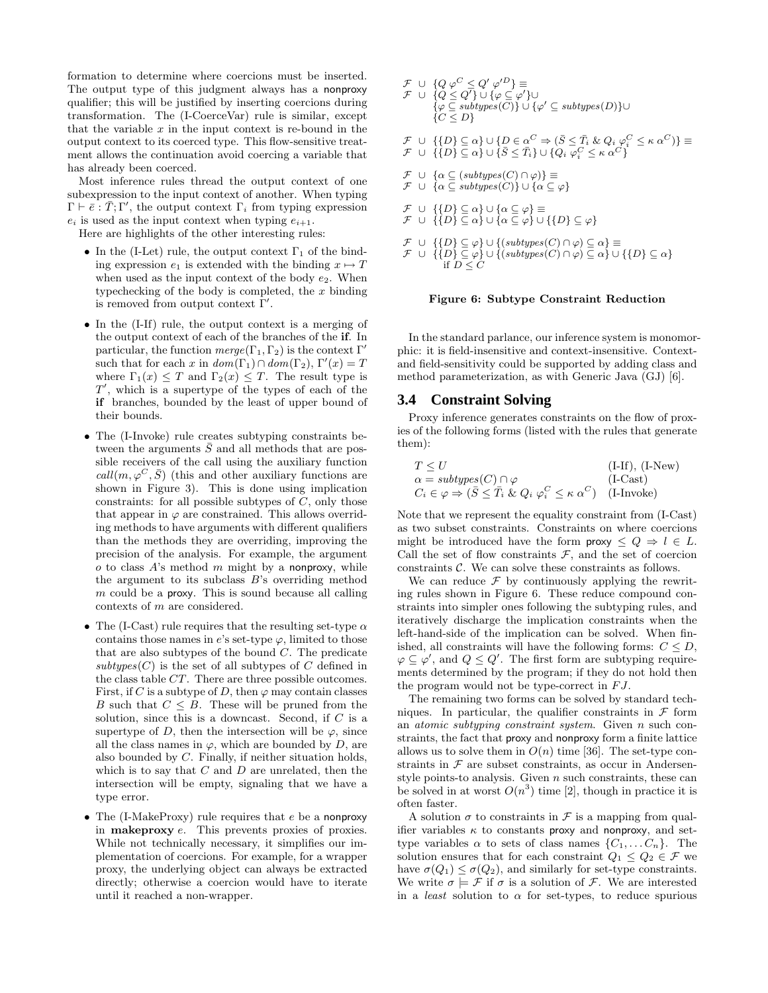formation to determine where coercions must be inserted. The output type of this judgment always has a nonproxy qualifier; this will be justified by inserting coercions during transformation. The (I-CoerceVar) rule is similar, except that the variable  $x$  in the input context is re-bound in the output context to its coerced type. This flow-sensitive treatment allows the continuation avoid coercing a variable that has already been coerced.

Most inference rules thread the output context of one subexpression to the input context of another. When typing  $\Gamma \vdash \bar{e} : \bar{T}; \Gamma',$  the output context  $\Gamma_i$  from typing expression  $e_i$  is used as the input context when typing  $e_{i+1}$ .

Here are highlights of the other interesting rules:

- In the (I-Let) rule, the output context  $\Gamma_1$  of the binding expression  $e_1$  is extended with the binding  $x \mapsto T$ when used as the input context of the body  $e_2$ . When typechecking of the body is completed, the  $x$  binding is removed from output context  $\Gamma'$ .
- In the (I-If) rule, the output context is a merging of the output context of each of the branches of the if. In particular, the function  $merge(\Gamma_1, \Gamma_2)$  is the context  $\Gamma'$ such that for each x in  $dom(\Gamma_1) \cap dom(\Gamma_2)$ ,  $\Gamma'(x) = T$ where  $\Gamma_1(x) \leq T$  and  $\Gamma_2(x) \leq T$ . The result type is  $T'$ , which is a supertype of the types of each of the if branches, bounded by the least of upper bound of their bounds.
- The (I-Invoke) rule creates subtyping constraints between the arguments  $\overline{S}$  and all methods that are possible receivers of the call using the auxiliary function  $call(m, \varphi^C, \overline{S})$  (this and other auxiliary functions are shown in Figure 3). This is done using implication constraints: for all possible subtypes of  $C$ , only those that appear in  $\varphi$  are constrained. This allows overriding methods to have arguments with different qualifiers than the methods they are overriding, improving the precision of the analysis. For example, the argument  $o$  to class  $A$ 's method  $m$  might by a nonproxy, while the argument to its subclass B's overriding method  $m$  could be a proxy. This is sound because all calling contexts of m are considered.
- The (I-Cast) rule requires that the resulting set-type  $\alpha$ contains those names in e's set-type  $\varphi$ , limited to those that are also subtypes of the bound  $C$ . The predicate  $subtypes(C)$  is the set of all subtypes of C defined in the class table CT. There are three possible outcomes. First, if C is a subtype of D, then  $\varphi$  may contain classes B such that  $C \leq B$ . These will be pruned from the solution, since this is a downcast. Second, if  $C$  is a supertype of D, then the intersection will be  $\varphi$ , since all the class names in  $\varphi$ , which are bounded by D, are also bounded by C. Finally, if neither situation holds, which is to say that  $C$  and  $D$  are unrelated, then the intersection will be empty, signaling that we have a type error.
- The (I-MakeProxy) rule requires that  $e$  be a nonproxy in makeproxy e. This prevents proxies of proxies. While not technically necessary, it simplifies our implementation of coercions. For example, for a wrapper proxy, the underlying object can always be extracted directly; otherwise a coercion would have to iterate until it reached a non-wrapper.

$$
\mathcal{F} \cup \{Q \varphi^C \leq Q' \varphi'^D\} \equiv
$$
\n
$$
\mathcal{F} \cup \{Q \leq Q'\} \cup \{\varphi \subseteq \varphi'\} \cup
$$
\n
$$
\{\varphi \subseteq subtypes(C)\} \cup \{\varphi' \subseteq subtypes(D)\} \cup
$$
\n
$$
\{C \leq D\}
$$
\n
$$
\mathcal{F} \cup \{\{D\} \subseteq \alpha\} \cup \{D \in \alpha^C \Rightarrow (\bar{S} \leq \bar{T}_i \& Q_i \varphi_i^C \leq \kappa \alpha^C)\} \equiv
$$
\n
$$
\mathcal{F} \cup \{\{D\} \subseteq \alpha\} \cup \{\bar{S} \leq \bar{T}_i\} \cup \{Q_i \varphi_i^C \leq \kappa \alpha^C\}
$$
\n
$$
\mathcal{F} \cup \{\alpha \subseteq (subtypes(C) \cap \varphi)\} \equiv
$$
\n
$$
\mathcal{F} \cup \{\alpha \subseteq subtypes(C)\} \cup \{\alpha \subseteq \varphi\}
$$
\n
$$
\mathcal{F} \cup \{\{D\} \subseteq \alpha\} \cup \{\alpha \subseteq \varphi\} \equiv
$$
\n
$$
\mathcal{F} \cup \{\{D\} \subseteq \alpha\} \cup \{\alpha \subseteq \varphi\} \cup \{\{D\} \subseteq \varphi\}
$$

 $\mathcal{F} \cup \{\{D\} \subseteq \varphi\} \cup \{(subtypes(C) \cap \varphi) \subseteq \alpha\} \equiv$  $\mathcal{F} \cup \{\{D\} \subseteq \varphi\} \cup \{(subtypes(C) \cap \varphi) \subseteq \alpha\} \cup \{\{D\} \subseteq \alpha\}$ if  $D \leq C$ 

#### Figure 6: Subtype Constraint Reduction

In the standard parlance, our inference system is monomorphic: it is field-insensitive and context-insensitive. Contextand field-sensitivity could be supported by adding class and method parameterization, as with Generic Java (GJ) [6].

#### **3.4 Constraint Solving**

Proxy inference generates constraints on the flow of proxies of the following forms (listed with the rules that generate them):

$$
T \leq U
$$
 (I-If), (I-New)  
\n
$$
\alpha = subtypes(C) \cap \varphi
$$
 (I-Cast)  
\n
$$
C_i \in \varphi \Rightarrow (\bar{S} \leq \bar{T}_i \& Q_i \ \varphi_i^C \leq \kappa \ \alpha^C)
$$
 (I-Invoke)

Note that we represent the equality constraint from (I-Cast) as two subset constraints. Constraints on where coercions might be introduced have the form proxy  $\leq Q \Rightarrow l \in L$ . Call the set of flow constraints  $\mathcal{F}$ , and the set of coercion constraints C. We can solve these constraints as follows.

We can reduce  $\mathcal F$  by continuously applying the rewriting rules shown in Figure 6. These reduce compound constraints into simpler ones following the subtyping rules, and iteratively discharge the implication constraints when the left-hand-side of the implication can be solved. When finished, all constraints will have the following forms:  $C \leq D$ ,  $\varphi \subseteq \varphi'$ , and  $Q \leq Q'$ . The first form are subtyping requirements determined by the program; if they do not hold then the program would not be type-correct in  $FJ$ .

The remaining two forms can be solved by standard techniques. In particular, the qualifier constraints in  $\mathcal F$  form an atomic subtyping constraint system. Given n such constraints, the fact that proxy and nonproxy form a finite lattice allows us to solve them in  $O(n)$  time [36]. The set-type constraints in  $\mathcal F$  are subset constraints, as occur in Andersenstyle points-to analysis. Given  $n$  such constraints, these can be solved in at worst  $O(n^3)$  time [2], though in practice it is often faster.

A solution  $\sigma$  to constraints in  $\mathcal F$  is a mapping from qualifier variables  $\kappa$  to constants proxy and nonproxy, and settype variables  $\alpha$  to sets of class names  $\{C_1, \ldots C_n\}$ . The solution ensures that for each constraint  $Q_1 \leq Q_2 \in \mathcal{F}$  we have  $\sigma(Q_1) \leq \sigma(Q_2)$ , and similarly for set-type constraints. We write  $\sigma \models \mathcal{F}$  if  $\sigma$  is a solution of  $\mathcal{F}$ . We are interested in a *least* solution to  $\alpha$  for set-types, to reduce spurious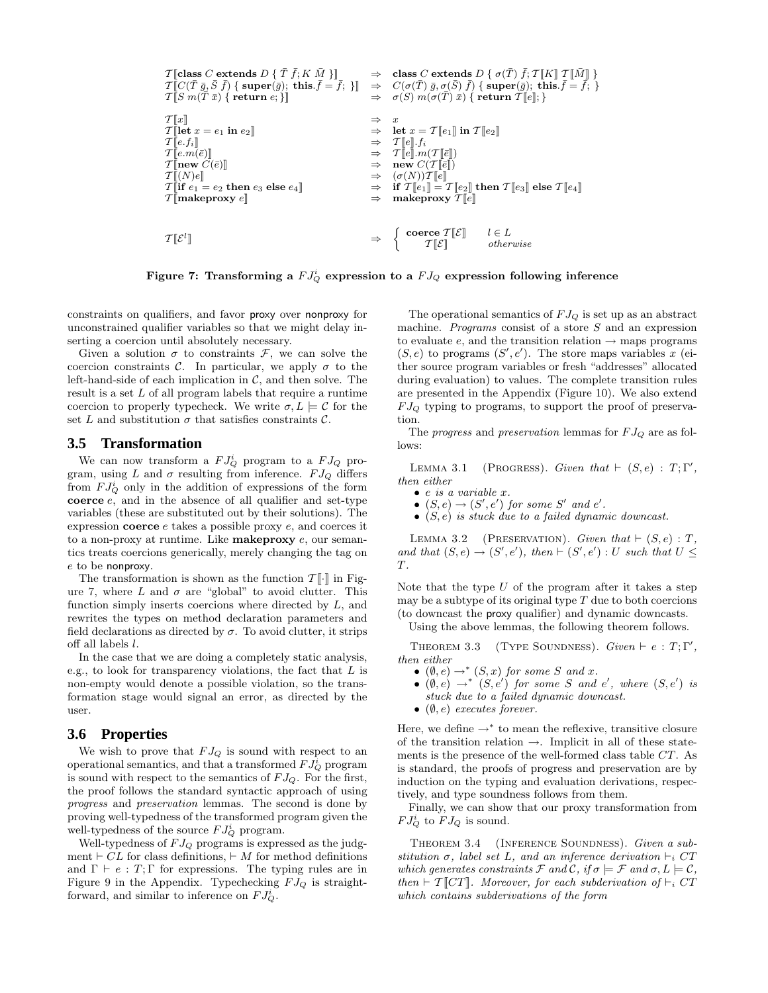

Figure 7: Transforming a  $FJ_Q^i$  expression to a  $FJ_Q$  expression following inference

constraints on qualifiers, and favor proxy over nonproxy for unconstrained qualifier variables so that we might delay inserting a coercion until absolutely necessary.

Given a solution  $\sigma$  to constraints  $\mathcal{F}$ , we can solve the coercion constraints C. In particular, we apply  $\sigma$  to the left-hand-side of each implication in  $\mathcal{C}$ , and then solve. The result is a set  $L$  of all program labels that require a runtime coercion to properly typecheck. We write  $\sigma, L \models \mathcal{C}$  for the set L and substitution  $\sigma$  that satisfies constraints C.

#### **3.5 Transformation**

We can now transform a  $FJ_Q^i$  program to a  $FJ_Q$  program, using L and  $\sigma$  resulting from inference.  $FJ_Q$  differs from  $FJ_Q^i$  only in the addition of expressions of the form coerce  $e$ , and in the absence of all qualifier and set-type variables (these are substituted out by their solutions). The expression coerce e takes a possible proxy e, and coerces it to a non-proxy at runtime. Like **makeproxy**  $e$ , our semantics treats coercions generically, merely changing the tag on e to be nonproxy.

The transformation is shown as the function  $\mathcal{T}[\cdot]$  in Figure 7, where L and  $\sigma$  are "global" to avoid clutter. This function simply inserts coercions where directed by L, and rewrites the types on method declaration parameters and field declarations as directed by  $\sigma$ . To avoid clutter, it strips off all labels l.

In the case that we are doing a completely static analysis, e.g., to look for transparency violations, the fact that  $L$  is non-empty would denote a possible violation, so the transformation stage would signal an error, as directed by the user.

#### **3.6 Properties**

We wish to prove that  $FJ_Q$  is sound with respect to an operational semantics, and that a transformed  $FJ_Q^i$  program is sound with respect to the semantics of  $FJ_Q$ . For the first, the proof follows the standard syntactic approach of using progress and preservation lemmas. The second is done by proving well-typedness of the transformed program given the well-typedness of the source  $FJ_Q^i$  program.

Well-typedness of  $FJ_Q$  programs is expressed as the judgment  $\vdash CL$  for class definitions,  $\vdash M$  for method definitions and  $\Gamma \vdash e : T; \Gamma$  for expressions. The typing rules are in Figure 9 in the Appendix. Typechecking  $FJ_Q$  is straightforward, and similar to inference on  $FJ_Q^i$ .

The operational semantics of  $FJ_Q$  is set up as an abstract machine. Programs consist of a store S and an expression to evaluate e, and the transition relation  $\rightarrow$  maps programs  $(S, e)$  to programs  $(S', e')$ . The store maps variables x (either source program variables or fresh "addresses" allocated during evaluation) to values. The complete transition rules are presented in the Appendix (Figure 10). We also extend  $FJ_{Q}$  typing to programs, to support the proof of preservation.

The *progress* and *preservation* lemmas for  $FJ_Q$  are as follows:

LEMMA 3.1 (PROGRESS). Given that  $\vdash (S, e) : T; \Gamma',$ then either

- $\bullet$  e is a variable x.
- $(S, e) \rightarrow (S', e')$  for some S' and e'.
- $\bullet$   $(S,e)$  is stuck due to a failed dynamic downcast.

LEMMA 3.2 (PRESERVATION). Given that  $\vdash (S, e) : T$ , and that  $(S, e) \rightarrow (S', e')$ , then  $\vdash (S', e') : U$  such that  $U \leq$  $T$ .

Note that the type  $U$  of the program after it takes a step may be a subtype of its original type  $T$  due to both coercions (to downcast the proxy qualifier) and dynamic downcasts.

Using the above lemmas, the following theorem follows.

THEOREM 3.3 (TYPE SOUNDNESS).  $Given \vdash e : T; \Gamma',$ then either

- $(\emptyset, e) \rightarrow^* (S, x)$  for some S and x.
- $(\emptyset, e) \rightarrow^* (S, e')$  for some S and e', where  $(S, e')$  is stuck due to a failed dynamic downcast.
- $(\emptyset, e)$  executes forever.

Here, we define  $\rightarrow^*$  to mean the reflexive, transitive closure of the transition relation  $\rightarrow$ . Implicit in all of these statements is the presence of the well-formed class table CT. As is standard, the proofs of progress and preservation are by induction on the typing and evaluation derivations, respectively, and type soundness follows from them.

Finally, we can show that our proxy transformation from  $FJ_Q^i$  to  $FJ_Q$  is sound.

THEOREM 3.4 (INFERENCE SOUNDNESS). Given a substitution  $\sigma$ , label set L, and an inference derivation  $\vdash_i CT$ which generates constraints  $\mathcal F$  and  $\mathcal C$ , if  $\sigma \models \mathcal F$  and  $\sigma, L \models \mathcal C$ , then  $\vdash \mathcal{T}$ [CT]. Moreover, for each subderivation of  $\vdash_i$  CT which contains subderivations of the form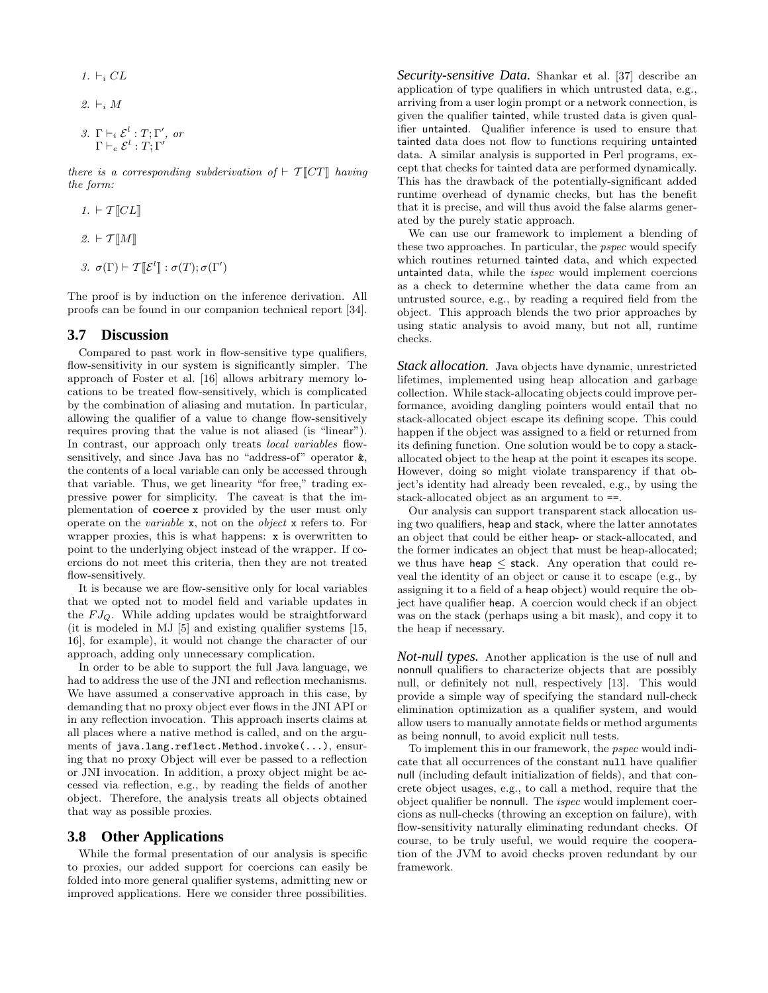1.  $\vdash_i CL$ 

2.  $\vdash_i M$ 

3.  $\Gamma \vdash_i \mathcal{E}^l : T; \Gamma', or$  $\Gamma \vdash_c \mathcal{E}^l : T; \Gamma'$ 

there is a corresponding subderivation of  $\vdash \mathcal{T}$   $\llbracket CT \rrbracket$  having the form:

- 1.  $\vdash \mathcal{T}$   $\llbracket CL \rrbracket$
- 2.  $\vdash \mathcal{T}$   $\llbracket M \rrbracket$
- 3.  $\sigma(\Gamma) \vdash \mathcal{T} \llbracket \mathcal{E}^l \rrbracket : \sigma(T); \sigma(\Gamma')$

The proof is by induction on the inference derivation. All proofs can be found in our companion technical report [34].

#### **3.7 Discussion**

Compared to past work in flow-sensitive type qualifiers, flow-sensitivity in our system is significantly simpler. The approach of Foster et al. [16] allows arbitrary memory locations to be treated flow-sensitively, which is complicated by the combination of aliasing and mutation. In particular, allowing the qualifier of a value to change flow-sensitively requires proving that the value is not aliased (is "linear"). In contrast, our approach only treats *local variables* flowsensitively, and since Java has no "address-of" operator &, the contents of a local variable can only be accessed through that variable. Thus, we get linearity "for free," trading expressive power for simplicity. The caveat is that the implementation of coerce x provided by the user must only operate on the variable x, not on the object x refers to. For wrapper proxies, this is what happens: x is overwritten to point to the underlying object instead of the wrapper. If coercions do not meet this criteria, then they are not treated flow-sensitively.

It is because we are flow-sensitive only for local variables that we opted not to model field and variable updates in the  $FJ_Q$ . While adding updates would be straightforward (it is modeled in MJ [5] and existing qualifier systems [15, 16], for example), it would not change the character of our approach, adding only unnecessary complication.

In order to be able to support the full Java language, we had to address the use of the JNI and reflection mechanisms. We have assumed a conservative approach in this case, by demanding that no proxy object ever flows in the JNI API or in any reflection invocation. This approach inserts claims at all places where a native method is called, and on the arguments of java.lang.reflect.Method.invoke(...), ensuring that no proxy Object will ever be passed to a reflection or JNI invocation. In addition, a proxy object might be accessed via reflection, e.g., by reading the fields of another object. Therefore, the analysis treats all objects obtained that way as possible proxies.

## **3.8 Other Applications**

While the formal presentation of our analysis is specific to proxies, our added support for coercions can easily be folded into more general qualifier systems, admitting new or improved applications. Here we consider three possibilities.

*Security-sensitive Data.* Shankar et al. [37] describe an application of type qualifiers in which untrusted data, e.g., arriving from a user login prompt or a network connection, is given the qualifier tainted, while trusted data is given qualifier untainted. Qualifier inference is used to ensure that tainted data does not flow to functions requiring untainted data. A similar analysis is supported in Perl programs, except that checks for tainted data are performed dynamically. This has the drawback of the potentially-significant added runtime overhead of dynamic checks, but has the benefit that it is precise, and will thus avoid the false alarms generated by the purely static approach.

We can use our framework to implement a blending of these two approaches. In particular, the pspec would specify which routines returned tainted data, and which expected untainted data, while the ispec would implement coercions as a check to determine whether the data came from an untrusted source, e.g., by reading a required field from the object. This approach blends the two prior approaches by using static analysis to avoid many, but not all, runtime checks.

*Stack allocation.* Java objects have dynamic, unrestricted lifetimes, implemented using heap allocation and garbage collection. While stack-allocating objects could improve performance, avoiding dangling pointers would entail that no stack-allocated object escape its defining scope. This could happen if the object was assigned to a field or returned from its defining function. One solution would be to copy a stackallocated object to the heap at the point it escapes its scope. However, doing so might violate transparency if that object's identity had already been revealed, e.g., by using the stack-allocated object as an argument to ==.

Our analysis can support transparent stack allocation using two qualifiers, heap and stack, where the latter annotates an object that could be either heap- or stack-allocated, and the former indicates an object that must be heap-allocated; we thus have heap  $\leq$  stack. Any operation that could reveal the identity of an object or cause it to escape (e.g., by assigning it to a field of a heap object) would require the object have qualifier heap. A coercion would check if an object was on the stack (perhaps using a bit mask), and copy it to the heap if necessary.

*Not-null types.* Another application is the use of null and nonnull qualifiers to characterize objects that are possibly null, or definitely not null, respectively [13]. This would provide a simple way of specifying the standard null-check elimination optimization as a qualifier system, and would allow users to manually annotate fields or method arguments as being nonnull, to avoid explicit null tests.

To implement this in our framework, the pspec would indicate that all occurrences of the constant null have qualifier null (including default initialization of fields), and that concrete object usages, e.g., to call a method, require that the object qualifier be nonnull. The ispec would implement coercions as null-checks (throwing an exception on failure), with flow-sensitivity naturally eliminating redundant checks. Of course, to be truly useful, we would require the cooperation of the JVM to avoid checks proven redundant by our framework.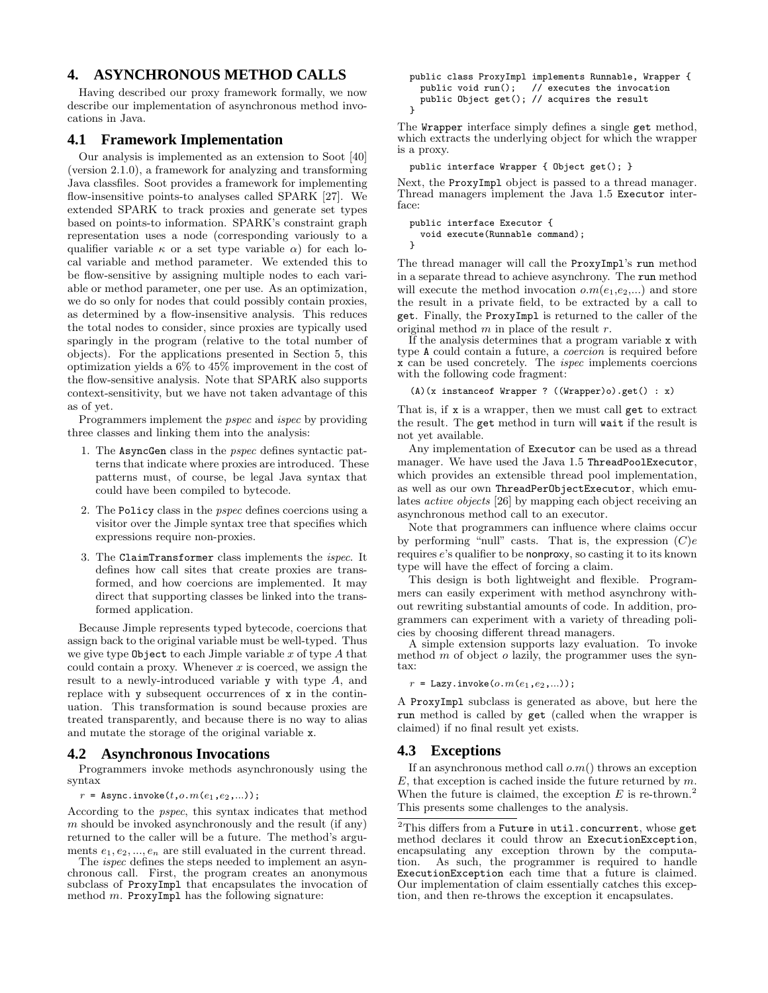## **4. ASYNCHRONOUS METHOD CALLS**

Having described our proxy framework formally, we now describe our implementation of asynchronous method invocations in Java.

## **4.1 Framework Implementation**

Our analysis is implemented as an extension to Soot [40] (version 2.1.0), a framework for analyzing and transforming Java classfiles. Soot provides a framework for implementing flow-insensitive points-to analyses called SPARK [27]. We extended SPARK to track proxies and generate set types based on points-to information. SPARK's constraint graph representation uses a node (corresponding variously to a qualifier variable  $\kappa$  or a set type variable  $\alpha$ ) for each local variable and method parameter. We extended this to be flow-sensitive by assigning multiple nodes to each variable or method parameter, one per use. As an optimization, we do so only for nodes that could possibly contain proxies, as determined by a flow-insensitive analysis. This reduces the total nodes to consider, since proxies are typically used sparingly in the program (relative to the total number of objects). For the applications presented in Section 5, this optimization yields a 6% to 45% improvement in the cost of the flow-sensitive analysis. Note that SPARK also supports context-sensitivity, but we have not taken advantage of this as of yet.

Programmers implement the pspec and ispec by providing three classes and linking them into the analysis:

- 1. The AsyncGen class in the pspec defines syntactic patterns that indicate where proxies are introduced. These patterns must, of course, be legal Java syntax that could have been compiled to bytecode.
- 2. The Policy class in the pspec defines coercions using a visitor over the Jimple syntax tree that specifies which expressions require non-proxies.
- 3. The ClaimTransformer class implements the ispec. It defines how call sites that create proxies are transformed, and how coercions are implemented. It may direct that supporting classes be linked into the transformed application.

Because Jimple represents typed bytecode, coercions that assign back to the original variable must be well-typed. Thus we give type  $\mathsf{Object}$  to each Jimple variable x of type A that could contain a proxy. Whenever  $x$  is coerced, we assign the result to a newly-introduced variable y with type A, and replace with y subsequent occurrences of x in the continuation. This transformation is sound because proxies are treated transparently, and because there is no way to alias and mutate the storage of the original variable x.

## **4.2 Asynchronous Invocations**

Programmers invoke methods asynchronously using the syntax

 $r =$  Async.invoke $(t, o. m(e_1, e_2, ...)$ ;

According to the pspec, this syntax indicates that method  $m$  should be invoked asynchronously and the result (if any) returned to the caller will be a future. The method's arguments  $e_1, e_2, ..., e_n$  are still evaluated in the current thread.

The *ispec* defines the steps needed to implement an asynchronous call. First, the program creates an anonymous subclass of ProxyImpl that encapsulates the invocation of method  $m$ . ProxyImpl has the following signature:

```
public class ProxyImpl implements Runnable, Wrapper {
 public void run(); // executes the invocation
 public Object get(); // acquires the result
}
```
The Wrapper interface simply defines a single get method, which extracts the underlying object for which the wrapper is a proxy.

```
public interface Wrapper { Object get(); }
```
Next, the ProxyImpl object is passed to a thread manager. Thread managers implement the Java 1.5 Executor interface:

```
public interface Executor {
 void execute(Runnable command);
}
```
The thread manager will call the ProxyImpl's run method in a separate thread to achieve asynchrony. The run method will execute the method invocation  $o.m(e_1,e_2,...)$  and store the result in a private field, to be extracted by a call to get. Finally, the ProxyImpl is returned to the caller of the original method  $m$  in place of the result  $r$ .

If the analysis determines that a program variable x with type A could contain a future, a coercion is required before x can be used concretely. The ispec implements coercions with the following code fragment:

```
(A)(x instanceof Wrapper ? ((Wrapper)o).get() : x)
```
That is, if x is a wrapper, then we must call get to extract the result. The get method in turn will wait if the result is not yet available.

Any implementation of Executor can be used as a thread manager. We have used the Java 1.5 ThreadPoolExecutor, which provides an extensible thread pool implementation, as well as our own ThreadPerObjectExecutor, which emulates active objects [26] by mapping each object receiving an asynchronous method call to an executor.

Note that programmers can influence where claims occur by performing "null" casts. That is, the expression  $(C)e$ requires e's qualifier to be nonproxy, so casting it to its known type will have the effect of forcing a claim.

This design is both lightweight and flexible. Programmers can easily experiment with method asynchrony without rewriting substantial amounts of code. In addition, programmers can experiment with a variety of threading policies by choosing different thread managers.

A simple extension supports lazy evaluation. To invoke method  $\hat{m}$  of object  $o$  lazily, the programmer uses the syntax:

```
r =Lazy.invoke(o.m(e_1, e_2, ...);
```
A ProxyImpl subclass is generated as above, but here the run method is called by get (called when the wrapper is claimed) if no final result yet exists.

## **4.3 Exceptions**

If an asynchronous method call  $o.m()$  throws an exception  $E$ , that exception is cached inside the future returned by  $m$ . When the future is claimed, the exception  $E$  is re-thrown.<sup>2</sup> This presents some challenges to the analysis.

 ${\rm ^2This}$  differs from a Future in util concurrent, whose get method declares it could throw an ExecutionException, encapsulating any exception thrown by the computation. As such, the programmer is required to handle ExecutionException each time that a future is claimed. Our implementation of claim essentially catches this exception, and then re-throws the exception it encapsulates.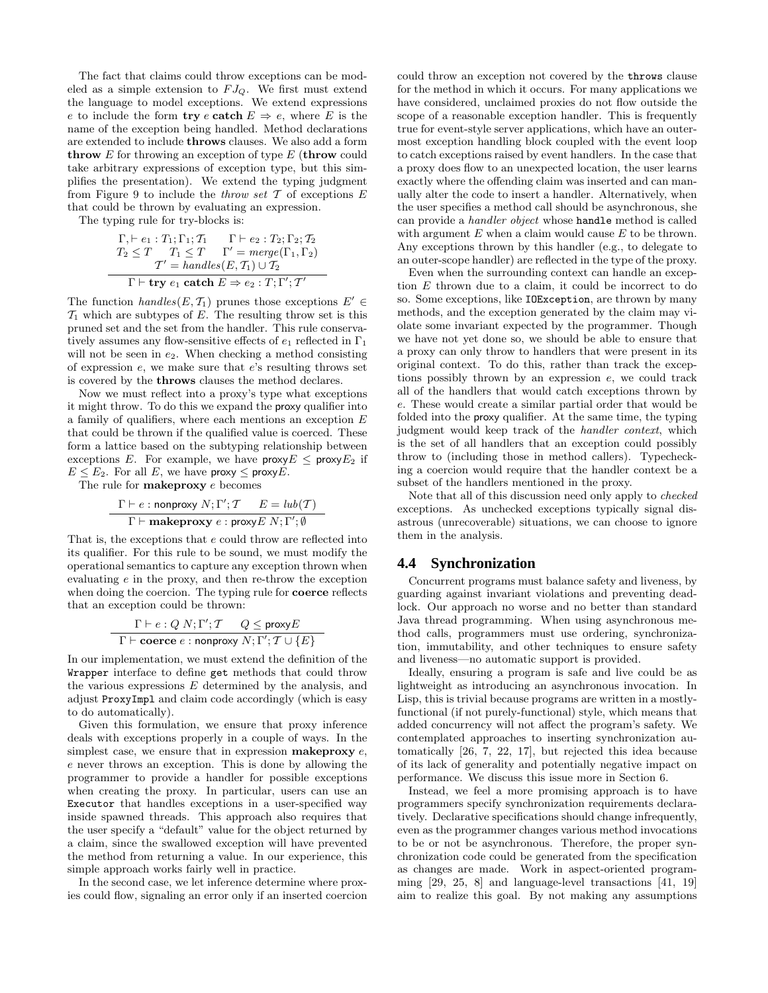The fact that claims could throw exceptions can be modeled as a simple extension to  $FJ_Q$ . We first must extend the language to model exceptions. We extend expressions e to include the form **try** e **catch**  $E \Rightarrow e$ , where E is the name of the exception being handled. Method declarations are extended to include throws clauses. We also add a form throw  $E$  for throwing an exception of type  $E$  (throw could take arbitrary expressions of exception type, but this simplifies the presentation). We extend the typing judgment from Figure 9 to include the *throw set*  $\mathcal T$  of exceptions  $E$ that could be thrown by evaluating an expression.

The typing rule for try-blocks is:

$$
\Gamma, \vdash e_1 : T_1; \Gamma_1; T_1 \quad \Gamma \vdash e_2 : T_2; \Gamma_2; T_2
$$
\n
$$
T_2 \leq T \quad T_1 \leq T \quad \Gamma' = \text{merge}(\Gamma_1, \Gamma_2)
$$
\n
$$
T' = \text{handles}(E, T_1) \cup T_2
$$
\n
$$
\Gamma \vdash \text{try } e_1 \text{ catch } E \Rightarrow e_2 : T; \Gamma'; T'
$$

The function  $\text{handles}(E, \mathcal{T}_1)$  prunes those exceptions  $E' \in$  $\mathcal{T}_1$  which are subtypes of E. The resulting throw set is this pruned set and the set from the handler. This rule conservatively assumes any flow-sensitive effects of  $e_1$  reflected in  $\Gamma_1$ will not be seen in  $e_2$ . When checking a method consisting of expression  $e$ , we make sure that  $e$ 's resulting throws set is covered by the throws clauses the method declares.

Now we must reflect into a proxy's type what exceptions it might throw. To do this we expand the proxy qualifier into a family of qualifiers, where each mentions an exception  $E$ that could be thrown if the qualified value is coerced. These form a lattice based on the subtyping relationship between exceptions E. For example, we have  $\textsf{proxy}E \leq \textsf{proxy}E_2$  if  $E \leq E_2$ . For all E, we have proxy  $\leq$  proxy E.

The rule for makeproxy e becomes

$$
\frac{\Gamma \vdash e : \text{nonproxy } N; \Gamma'; \mathcal{T} \qquad E = lub(\mathcal{T})}{\Gamma \vdash \text{makeproxy } e : \text{proxy } E \ N; \Gamma'; \emptyset}
$$

That is, the exceptions that e could throw are reflected into its qualifier. For this rule to be sound, we must modify the operational semantics to capture any exception thrown when evaluating e in the proxy, and then re-throw the exception when doing the coercion. The typing rule for coerce reflects that an exception could be thrown:

$$
\frac{\Gamma \vdash e : Q \ N; \Gamma'; \mathcal{T} \quad Q \leq \text{proxy} E}{\Gamma \vdash \text{coerce } e : \text{nonproxy } N; \Gamma'; \mathcal{T} \cup \{E\}}
$$

In our implementation, we must extend the definition of the Wrapper interface to define get methods that could throw the various expressions E determined by the analysis, and adjust ProxyImpl and claim code accordingly (which is easy to do automatically).

Given this formulation, we ensure that proxy inference deals with exceptions properly in a couple of ways. In the simplest case, we ensure that in expression **makeproxy**  $e$ , e never throws an exception. This is done by allowing the programmer to provide a handler for possible exceptions when creating the proxy. In particular, users can use an Executor that handles exceptions in a user-specified way inside spawned threads. This approach also requires that the user specify a "default" value for the object returned by a claim, since the swallowed exception will have prevented the method from returning a value. In our experience, this simple approach works fairly well in practice.

In the second case, we let inference determine where proxies could flow, signaling an error only if an inserted coercion could throw an exception not covered by the throws clause for the method in which it occurs. For many applications we have considered, unclaimed proxies do not flow outside the scope of a reasonable exception handler. This is frequently true for event-style server applications, which have an outermost exception handling block coupled with the event loop to catch exceptions raised by event handlers. In the case that a proxy does flow to an unexpected location, the user learns exactly where the offending claim was inserted and can manually alter the code to insert a handler. Alternatively, when the user specifies a method call should be asynchronous, she can provide a handler object whose handle method is called with argument  $E$  when a claim would cause  $E$  to be thrown. Any exceptions thrown by this handler (e.g., to delegate to an outer-scope handler) are reflected in the type of the proxy.

Even when the surrounding context can handle an exception E thrown due to a claim, it could be incorrect to do so. Some exceptions, like IOException, are thrown by many methods, and the exception generated by the claim may violate some invariant expected by the programmer. Though we have not yet done so, we should be able to ensure that a proxy can only throw to handlers that were present in its original context. To do this, rather than track the exceptions possibly thrown by an expression e, we could track all of the handlers that would catch exceptions thrown by e. These would create a similar partial order that would be folded into the proxy qualifier. At the same time, the typing judgment would keep track of the handler context, which is the set of all handlers that an exception could possibly throw to (including those in method callers). Typechecking a coercion would require that the handler context be a subset of the handlers mentioned in the proxy.

Note that all of this discussion need only apply to checked exceptions. As unchecked exceptions typically signal disastrous (unrecoverable) situations, we can choose to ignore them in the analysis.

## **4.4 Synchronization**

Concurrent programs must balance safety and liveness, by guarding against invariant violations and preventing deadlock. Our approach no worse and no better than standard Java thread programming. When using asynchronous method calls, programmers must use ordering, synchronization, immutability, and other techniques to ensure safety and liveness—no automatic support is provided.

Ideally, ensuring a program is safe and live could be as lightweight as introducing an asynchronous invocation. In Lisp, this is trivial because programs are written in a mostlyfunctional (if not purely-functional) style, which means that added concurrency will not affect the program's safety. We contemplated approaches to inserting synchronization automatically [26, 7, 22, 17], but rejected this idea because of its lack of generality and potentially negative impact on performance. We discuss this issue more in Section 6.

Instead, we feel a more promising approach is to have programmers specify synchronization requirements declaratively. Declarative specifications should change infrequently, even as the programmer changes various method invocations to be or not be asynchronous. Therefore, the proper synchronization code could be generated from the specification as changes are made. Work in aspect-oriented programming [29, 25, 8] and language-level transactions [41, 19] aim to realize this goal. By not making any assumptions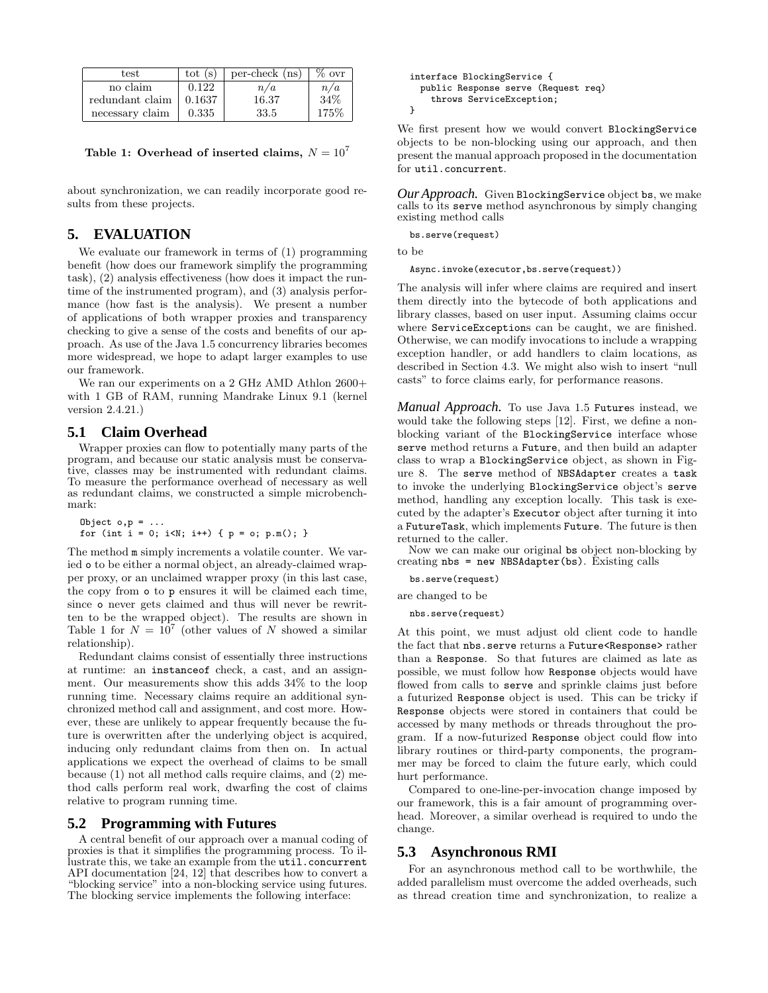| test            | tot $(s)$ | per-check (ns) | $\%$ ovr |
|-----------------|-----------|----------------|----------|
| no claim        | 0.122     | n/a            | n/a      |
| redundant claim | 0.1637    | 16.37          | 34%      |
| necessary claim | 0.335     | 33.5           | 175%     |

Table 1: Overhead of inserted claims,  $N = 10<sup>7</sup>$ 

about synchronization, we can readily incorporate good results from these projects.

## **5. EVALUATION**

We evaluate our framework in terms of (1) programming benefit (how does our framework simplify the programming task), (2) analysis effectiveness (how does it impact the runtime of the instrumented program), and (3) analysis performance (how fast is the analysis). We present a number of applications of both wrapper proxies and transparency checking to give a sense of the costs and benefits of our approach. As use of the Java 1.5 concurrency libraries becomes more widespread, we hope to adapt larger examples to use our framework.

We ran our experiments on a 2 GHz AMD Athlon  $2600+$ with 1 GB of RAM, running Mandrake Linux 9.1 (kernel version 2.4.21.)

## **5.1 Claim Overhead**

Wrapper proxies can flow to potentially many parts of the program, and because our static analysis must be conservative, classes may be instrumented with redundant claims. To measure the performance overhead of necessary as well as redundant claims, we constructed a simple microbenchmark:

```
Object o, p = \ldotsfor (int i = 0; i \le N; i+1) { p = o; p.m(); }
```
The method m simply increments a volatile counter. We varied o to be either a normal object, an already-claimed wrapper proxy, or an unclaimed wrapper proxy (in this last case, the copy from o to p ensures it will be claimed each time, since o never gets claimed and thus will never be rewritten to be the wrapped object). The results are shown in Table 1 for  $N = 10^7$  (other values of N showed a similar relationship).

Redundant claims consist of essentially three instructions at runtime: an instanceof check, a cast, and an assignment. Our measurements show this adds 34% to the loop running time. Necessary claims require an additional synchronized method call and assignment, and cost more. However, these are unlikely to appear frequently because the future is overwritten after the underlying object is acquired, inducing only redundant claims from then on. In actual applications we expect the overhead of claims to be small because (1) not all method calls require claims, and (2) method calls perform real work, dwarfing the cost of claims relative to program running time.

#### **5.2 Programming with Futures**

A central benefit of our approach over a manual coding of proxies is that it simplifies the programming process. To illustrate this, we take an example from the util.concurrent API documentation [24, 12] that describes how to convert a "blocking service" into a non-blocking service using futures. The blocking service implements the following interface:

| interface BlockingService {         |  |  |  |  |  |  |  |
|-------------------------------------|--|--|--|--|--|--|--|
| public Response serve (Request req) |  |  |  |  |  |  |  |
| throws ServiceException;            |  |  |  |  |  |  |  |
|                                     |  |  |  |  |  |  |  |

We first present how we would convert BlockingService objects to be non-blocking using our approach, and then present the manual approach proposed in the documentation for util.concurrent.

*Our Approach.* Given BlockingService object bs, we make calls to its serve method asynchronous by simply changing existing method calls

bs.serve(request)

to be

Async.invoke(executor,bs.serve(request))

The analysis will infer where claims are required and insert them directly into the bytecode of both applications and library classes, based on user input. Assuming claims occur where ServiceExceptions can be caught, we are finished. Otherwise, we can modify invocations to include a wrapping exception handler, or add handlers to claim locations, as described in Section 4.3. We might also wish to insert "null casts" to force claims early, for performance reasons.

*Manual Approach.* To use Java 1.5 Futures instead, we would take the following steps [12]. First, we define a nonblocking variant of the BlockingService interface whose serve method returns a Future, and then build an adapter class to wrap a BlockingService object, as shown in Figure 8. The serve method of NBSAdapter creates a task to invoke the underlying BlockingService object's serve method, handling any exception locally. This task is executed by the adapter's Executor object after turning it into a FutureTask, which implements Future. The future is then returned to the caller.

Now we can make our original bs object non-blocking by creating nbs = new NBSAdapter(bs). Existing calls

bs.serve(request)

are changed to be

nbs.serve(request)

At this point, we must adjust old client code to handle the fact that nbs.serve returns a Future<Response>rather than a Response. So that futures are claimed as late as possible, we must follow how Response objects would have flowed from calls to serve and sprinkle claims just before a futurized Response object is used. This can be tricky if Response objects were stored in containers that could be accessed by many methods or threads throughout the program. If a now-futurized Response object could flow into library routines or third-party components, the programmer may be forced to claim the future early, which could hurt performance.

Compared to one-line-per-invocation change imposed by our framework, this is a fair amount of programming overhead. Moreover, a similar overhead is required to undo the change.

## **5.3 Asynchronous RMI**

For an asynchronous method call to be worthwhile, the added parallelism must overcome the added overheads, such as thread creation time and synchronization, to realize a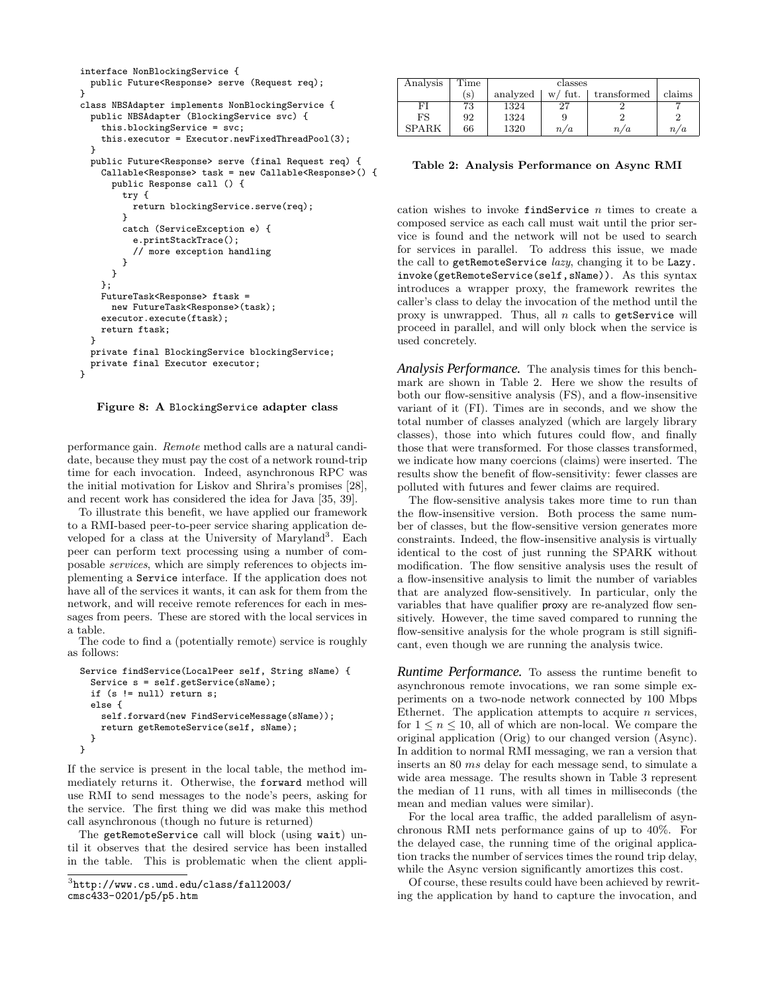```
interface NonBlockingService {
 public Future<Response> serve (Request req);
}
class NBSAdapter implements NonBlockingService {
 public NBSAdapter (BlockingService svc) {
   this.blockingService = svc;
   this.executor = Executor.newFixedThreadPool(3);
 }
 public Future<Response> serve (final Request req) {
   Callable<Response> task = new Callable<Response>() {
     public Response call () {
       try {
          return blockingService.serve(req);
        }
        catch (ServiceException e) {
          e.printStackTrace();
          // more exception handling
       }
     }
   };
   FutureTask<Response> ftask =
     new FutureTask<Response>(task);
    executor.execute(ftask);
   return ftask;
 }
 private final BlockingService blockingService;
 private final Executor executor;
}
```

|  |  | Figure 8: A BlockingService adapter class |  |  |
|--|--|-------------------------------------------|--|--|
|--|--|-------------------------------------------|--|--|

performance gain. Remote method calls are a natural candidate, because they must pay the cost of a network round-trip time for each invocation. Indeed, asynchronous RPC was the initial motivation for Liskov and Shrira's promises [28], and recent work has considered the idea for Java [35, 39].

To illustrate this benefit, we have applied our framework to a RMI-based peer-to-peer service sharing application developed for a class at the University of Maryland<sup>3</sup>. Each peer can perform text processing using a number of composable services, which are simply references to objects implementing a Service interface. If the application does not have all of the services it wants, it can ask for them from the network, and will receive remote references for each in messages from peers. These are stored with the local services in a table.

The code to find a (potentially remote) service is roughly as follows:

```
Service findService(LocalPeer self, String sName) {
  Service s = self.getService(sName);
  if (s != null) return s;
  else {
    self.forward(new FindServiceMessage(sName));
    return getRemoteService(self, sName);
 }
}
```
If the service is present in the local table, the method immediately returns it. Otherwise, the forward method will use RMI to send messages to the node's peers, asking for the service. The first thing we did was make this method call asynchronous (though no future is returned)

The getRemoteService call will block (using wait) until it observes that the desired service has been installed in the table. This is problematic when the client appli-

| Analysis     | Time |          |            |             |        |
|--------------|------|----------|------------|-------------|--------|
|              | s)   | analyzed | fut.<br>W/ | transformed | claims |
| FI           | 73   | 1324     | די         |             |        |
| FS           | 92   | 1324     |            |             |        |
| <b>SPARK</b> | 66   | 1320     | n/a        | n/a         | n/a    |

Table 2: Analysis Performance on Async RMI

cation wishes to invoke findService  $n$  times to create a composed service as each call must wait until the prior service is found and the network will not be used to search for services in parallel. To address this issue, we made the call to getRemoteService lazy, changing it to be Lazy. invoke(getRemoteService(self,sName)). As this syntax introduces a wrapper proxy, the framework rewrites the caller's class to delay the invocation of the method until the proxy is unwrapped. Thus, all  $n$  calls to getService will proceed in parallel, and will only block when the service is used concretely.

*Analysis Performance.* The analysis times for this benchmark are shown in Table 2. Here we show the results of both our flow-sensitive analysis (FS), and a flow-insensitive variant of it (FI). Times are in seconds, and we show the total number of classes analyzed (which are largely library classes), those into which futures could flow, and finally those that were transformed. For those classes transformed, we indicate how many coercions (claims) were inserted. The results show the benefit of flow-sensitivity: fewer classes are polluted with futures and fewer claims are required.

The flow-sensitive analysis takes more time to run than the flow-insensitive version. Both process the same number of classes, but the flow-sensitive version generates more constraints. Indeed, the flow-insensitive analysis is virtually identical to the cost of just running the SPARK without modification. The flow sensitive analysis uses the result of a flow-insensitive analysis to limit the number of variables that are analyzed flow-sensitively. In particular, only the variables that have qualifier proxy are re-analyzed flow sensitively. However, the time saved compared to running the flow-sensitive analysis for the whole program is still significant, even though we are running the analysis twice.

*Runtime Performance.* To assess the runtime benefit to asynchronous remote invocations, we ran some simple experiments on a two-node network connected by 100 Mbps Ethernet. The application attempts to acquire  $n$  services, for  $1 \leq n \leq 10$ , all of which are non-local. We compare the original application (Orig) to our changed version (Async). In addition to normal RMI messaging, we ran a version that inserts an 80 ms delay for each message send, to simulate a wide area message. The results shown in Table 3 represent the median of 11 runs, with all times in milliseconds (the mean and median values were similar).

For the local area traffic, the added parallelism of asynchronous RMI nets performance gains of up to 40%. For the delayed case, the running time of the original application tracks the number of services times the round trip delay, while the Async version significantly amortizes this cost.

Of course, these results could have been achieved by rewriting the application by hand to capture the invocation, and

 $^3$ http://www.cs.umd.edu/class/fall2003/ cmsc433-0201/p5/p5.htm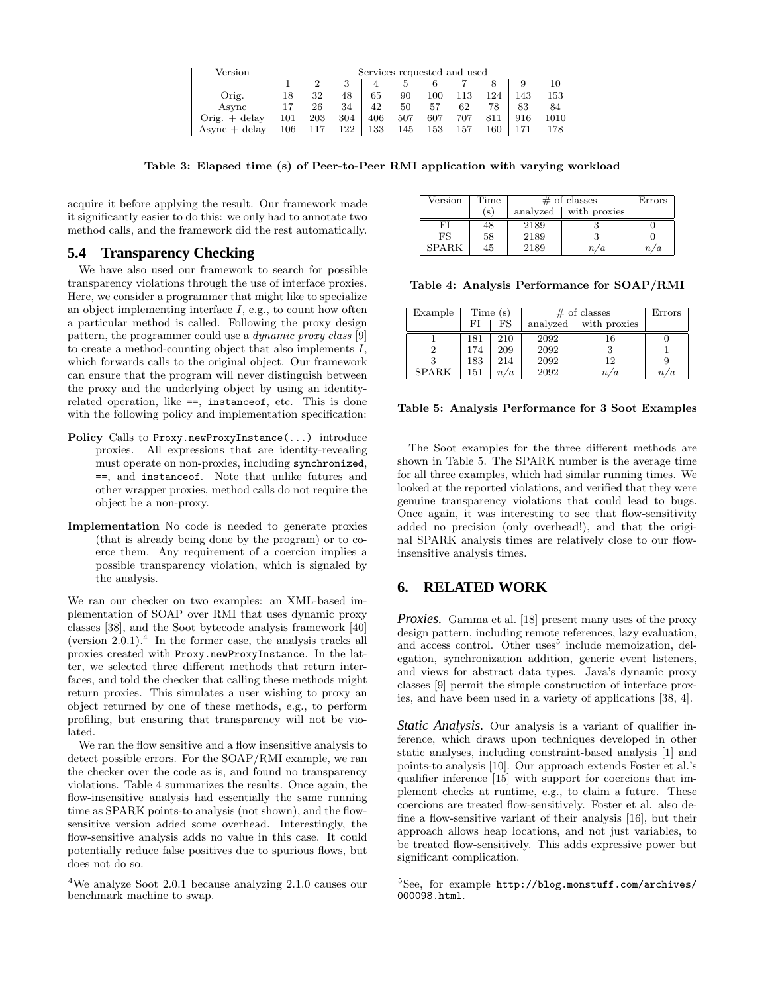| Version                       |     | Services requested and used |     |     |     |         |     |     |     |      |
|-------------------------------|-----|-----------------------------|-----|-----|-----|---------|-----|-----|-----|------|
|                               |     |                             | 3   |     |     |         |     |     |     | 10   |
| Orig.                         | 18  | 32                          | 48  | 65  | 90  | $100\,$ | 113 | 124 | 143 | 153  |
| Async                         | 17  | 26                          | 34  | 42  | 50  | 57      | 62  | 78  | 83  | 84   |
| Orig. $+$ delay               | 101 | 203                         | 304 | 406 | 507 | 607     | 707 | 811 | 916 | 1010 |
| $\text{Async} + \text{delay}$ | 106 | 117                         | 122 | 133 | 145 | 153     | 157 | 160 | 171 | 178  |

Table 3: Elapsed time (s) of Peer-to-Peer RMI application with varying workload

acquire it before applying the result. Our framework made it significantly easier to do this: we only had to annotate two method calls, and the framework did the rest automatically.

## **5.4 Transparency Checking**

We have also used our framework to search for possible transparency violations through the use of interface proxies. Here, we consider a programmer that might like to specialize an object implementing interface  $I$ , e.g., to count how often a particular method is called. Following the proxy design pattern, the programmer could use a dynamic proxy class [9] to create a method-counting object that also implements I, which forwards calls to the original object. Our framework can ensure that the program will never distinguish between the proxy and the underlying object by using an identityrelated operation, like ==, instanceof, etc. This is done with the following policy and implementation specification:

- Policy Calls to Proxy.newProxyInstance(...) introduce proxies. All expressions that are identity-revealing must operate on non-proxies, including synchronized, ==, and instanceof. Note that unlike futures and other wrapper proxies, method calls do not require the object be a non-proxy.
- Implementation No code is needed to generate proxies (that is already being done by the program) or to coerce them. Any requirement of a coercion implies a possible transparency violation, which is signaled by the analysis.

We ran our checker on two examples: an XML-based implementation of SOAP over RMI that uses dynamic proxy classes [38], and the Soot bytecode analysis framework [40] (version  $2.0.1$ ).<sup>4</sup> In the former case, the analysis tracks all proxies created with Proxy.newProxyInstance. In the latter, we selected three different methods that return interfaces, and told the checker that calling these methods might return proxies. This simulates a user wishing to proxy an object returned by one of these methods, e.g., to perform profiling, but ensuring that transparency will not be violated.

We ran the flow sensitive and a flow insensitive analysis to detect possible errors. For the SOAP/RMI example, we ran the checker over the code as is, and found no transparency violations. Table 4 summarizes the results. Once again, the flow-insensitive analysis had essentially the same running time as SPARK points-to analysis (not shown), and the flowsensitive version added some overhead. Interestingly, the flow-sensitive analysis adds no value in this case. It could potentially reduce false positives due to spurious flows, but does not do so.

| Version      | Time | $#$ of classes                   | Errors |     |
|--------------|------|----------------------------------|--------|-----|
|              | (s)  | with proxies<br>analyzed $\vert$ |        |     |
| FI           | 48   | 2189                             |        |     |
| FS           | 58   | 2189                             |        |     |
| <b>SPARK</b> | 45   | 2189                             | n/a    | n/a |

Table 4: Analysis Performance for SOAP/RMI

| Example      |     | Time(s) | $#$ of classes           | Errors      |     |
|--------------|-----|---------|--------------------------|-------------|-----|
|              | FI  | FS      | with proxies<br>analyzed |             |     |
|              | 181 | 210     | 2092                     | $^{\rm 16}$ |     |
|              | 174 | 209     | 2092                     | 3           |     |
|              | 183 | 214     | 2092                     | 12          | 9   |
| <b>SPARK</b> | 151 | n/a     | 2092                     | n/a         | n/a |

#### Table 5: Analysis Performance for 3 Soot Examples

The Soot examples for the three different methods are shown in Table 5. The SPARK number is the average time for all three examples, which had similar running times. We looked at the reported violations, and verified that they were genuine transparency violations that could lead to bugs. Once again, it was interesting to see that flow-sensitivity added no precision (only overhead!), and that the original SPARK analysis times are relatively close to our flowinsensitive analysis times.

## **6. RELATED WORK**

*Proxies.* Gamma et al. [18] present many uses of the proxy design pattern, including remote references, lazy evaluation, and access control. Other uses<sup>5</sup> include memoization, delegation, synchronization addition, generic event listeners, and views for abstract data types. Java's dynamic proxy classes [9] permit the simple construction of interface proxies, and have been used in a variety of applications [38, 4].

*Static Analysis.* Our analysis is a variant of qualifier inference, which draws upon techniques developed in other static analyses, including constraint-based analysis [1] and points-to analysis [10]. Our approach extends Foster et al.'s qualifier inference [15] with support for coercions that implement checks at runtime, e.g., to claim a future. These coercions are treated flow-sensitively. Foster et al. also define a flow-sensitive variant of their analysis [16], but their approach allows heap locations, and not just variables, to be treated flow-sensitively. This adds expressive power but significant complication.

<sup>&</sup>lt;sup>4</sup>We analyze Soot 2.0.1 because analyzing  $2.1.0$  causes our benchmark machine to swap.

<sup>5</sup>See, for example http://blog.monstuff.com/archives/ 000098.html.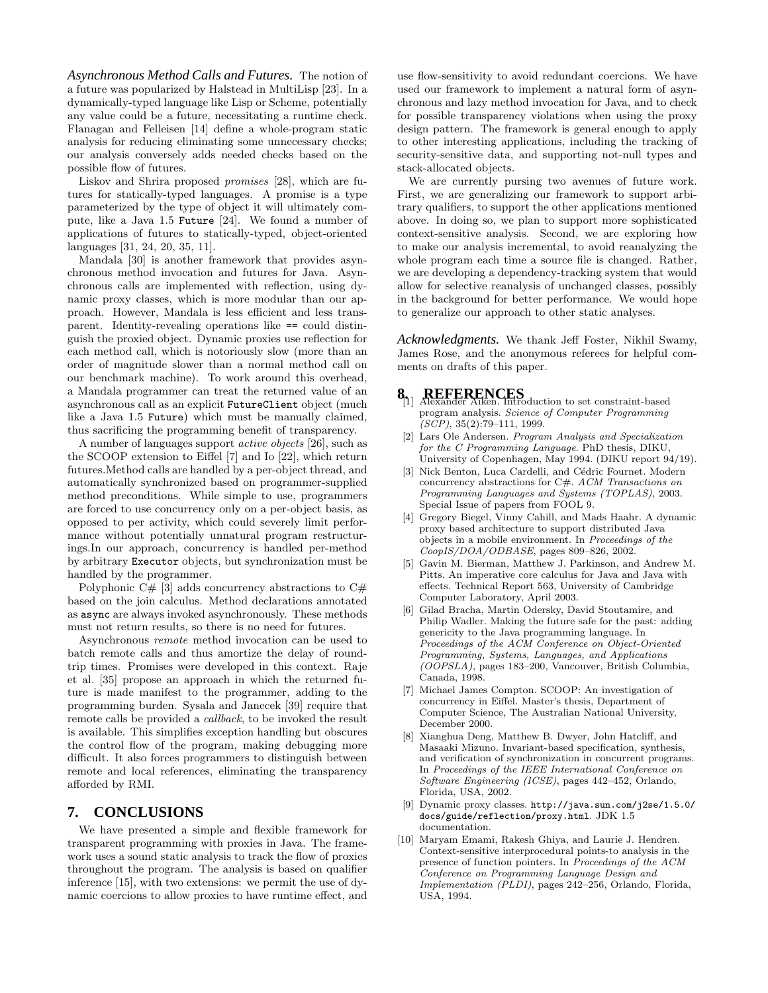*Asynchronous Method Calls and Futures.* The notion of a future was popularized by Halstead in MultiLisp [23]. In a dynamically-typed language like Lisp or Scheme, potentially any value could be a future, necessitating a runtime check. Flanagan and Felleisen [14] define a whole-program static analysis for reducing eliminating some unnecessary checks; our analysis conversely adds needed checks based on the possible flow of futures.

Liskov and Shrira proposed promises [28], which are futures for statically-typed languages. A promise is a type parameterized by the type of object it will ultimately compute, like a Java 1.5 Future [24]. We found a number of applications of futures to statically-typed, object-oriented languages [31, 24, 20, 35, 11].

Mandala [30] is another framework that provides asynchronous method invocation and futures for Java. Asynchronous calls are implemented with reflection, using dynamic proxy classes, which is more modular than our approach. However, Mandala is less efficient and less transparent. Identity-revealing operations like == could distinguish the proxied object. Dynamic proxies use reflection for each method call, which is notoriously slow (more than an order of magnitude slower than a normal method call on our benchmark machine). To work around this overhead, a Mandala programmer can treat the returned value of an asynchronous call as an explicit FutureClient object (much like a Java 1.5 Future) which must be manually claimed, thus sacrificing the programming benefit of transparency.

A number of languages support active objects [26], such as the SCOOP extension to Eiffel [7] and Io [22], which return futures.Method calls are handled by a per-object thread, and automatically synchronized based on programmer-supplied method preconditions. While simple to use, programmers are forced to use concurrency only on a per-object basis, as opposed to per activity, which could severely limit performance without potentially unnatural program restructurings.In our approach, concurrency is handled per-method by arbitrary Executor objects, but synchronization must be handled by the programmer.

Polyphonic C# [3] adds concurrency abstractions to C# based on the join calculus. Method declarations annotated as async are always invoked asynchronously. These methods must not return results, so there is no need for futures.

Asynchronous remote method invocation can be used to batch remote calls and thus amortize the delay of roundtrip times. Promises were developed in this context. Raje et al. [35] propose an approach in which the returned future is made manifest to the programmer, adding to the programming burden. Sysala and Janecek [39] require that remote calls be provided a callback, to be invoked the result is available. This simplifies exception handling but obscures the control flow of the program, making debugging more difficult. It also forces programmers to distinguish between remote and local references, eliminating the transparency afforded by RMI.

## **7. CONCLUSIONS**

We have presented a simple and flexible framework for transparent programming with proxies in Java. The framework uses a sound static analysis to track the flow of proxies throughout the program. The analysis is based on qualifier inference [15], with two extensions: we permit the use of dynamic coercions to allow proxies to have runtime effect, and

use flow-sensitivity to avoid redundant coercions. We have used our framework to implement a natural form of asynchronous and lazy method invocation for Java, and to check for possible transparency violations when using the proxy design pattern. The framework is general enough to apply to other interesting applications, including the tracking of security-sensitive data, and supporting not-null types and stack-allocated objects.

We are currently pursing two avenues of future work. First, we are generalizing our framework to support arbitrary qualifiers, to support the other applications mentioned above. In doing so, we plan to support more sophisticated context-sensitive analysis. Second, we are exploring how to make our analysis incremental, to avoid reanalyzing the whole program each time a source file is changed. Rather, we are developing a dependency-tracking system that would allow for selective reanalysis of unchanged classes, possibly in the background for better performance. We would hope to generalize our approach to other static analyses.

*Acknowledgments.* We thank Jeff Foster, Nikhil Swamy, James Rose, and the anonymous referees for helpful comments on drafts of this paper.

- 8.1 **REFERENCES**<br> **11** Alexander Aiken. Introduction to set constraint-based program analysis. Science of Computer Programming  $(SCP)$ , 35(2):79-111, 1999.
- [2] Lars Ole Andersen. Program Analysis and Specialization for the C Programming Language. PhD thesis, DIKU, University of Copenhagen, May 1994. (DIKU report 94/19).
- [3] Nick Benton, Luca Cardelli, and Cédric Fournet. Modern concurrency abstractions for C#. ACM Transactions on Programming Languages and Systems (TOPLAS), 2003. Special Issue of papers from FOOL 9.
- [4] Gregory Biegel, Vinny Cahill, and Mads Haahr. A dynamic proxy based architecture to support distributed Java objects in a mobile environment. In Proceedings of the CoopIS/DOA/ODBASE, pages 809–826, 2002.
- [5] Gavin M. Bierman, Matthew J. Parkinson, and Andrew M. Pitts. An imperative core calculus for Java and Java with effects. Technical Report 563, University of Cambridge Computer Laboratory, April 2003.
- [6] Gilad Bracha, Martin Odersky, David Stoutamire, and Philip Wadler. Making the future safe for the past: adding genericity to the Java programming language. In Proceedings of the ACM Conference on Object-Oriented Programming, Systems, Languages, and Applications (OOPSLA), pages 183–200, Vancouver, British Columbia, Canada, 1998.
- [7] Michael James Compton. SCOOP: An investigation of concurrency in Eiffel. Master's thesis, Department of Computer Science, The Australian National University, December 2000.
- [8] Xianghua Deng, Matthew B. Dwyer, John Hatcliff, and Masaaki Mizuno. Invariant-based specification, synthesis, and verification of synchronization in concurrent programs. In Proceedings of the IEEE International Conference on Software Engineering (ICSE), pages 442–452, Orlando, Florida, USA, 2002.
- [9] Dynamic proxy classes. http://java.sun.com/j2se/1.5.0/ docs/guide/reflection/proxy.html. JDK 1.5 documentation.
- [10] Maryam Emami, Rakesh Ghiya, and Laurie J. Hendren. Context-sensitive interprocedural points-to analysis in the presence of function pointers. In Proceedings of the ACM Conference on Programming Language Design and Implementation (PLDI), pages 242–256, Orlando, Florida, USA, 1994.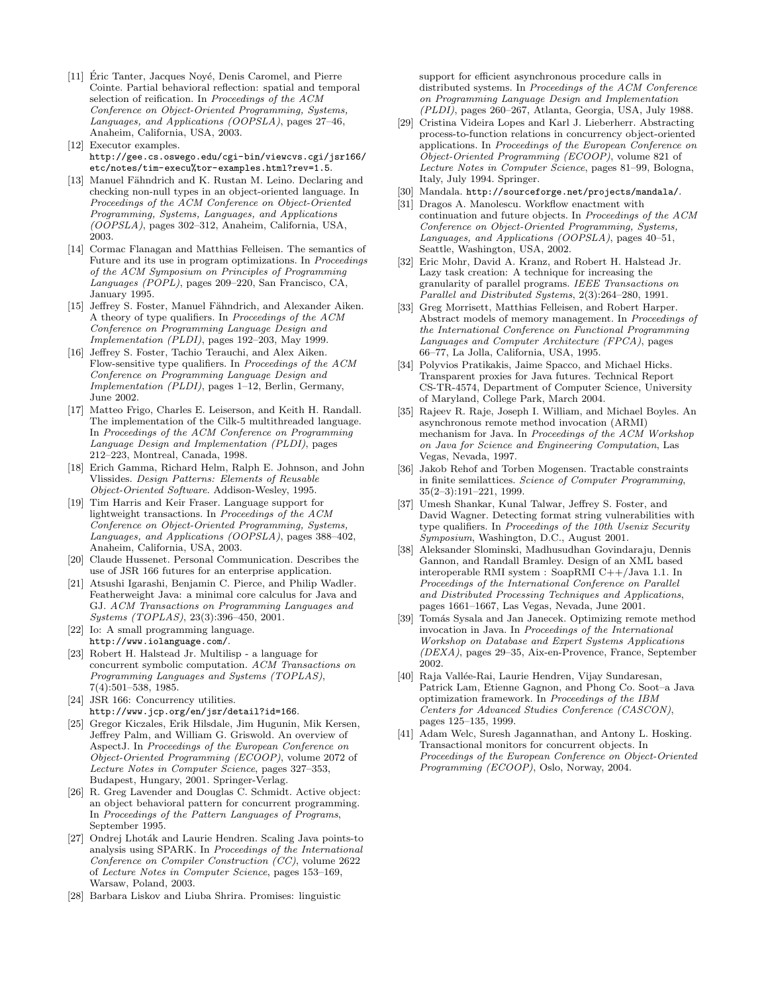- [11] Éric Tanter, Jacques Noyé, Denis Caromel, and Pierre Cointe. Partial behavioral reflection: spatial and temporal selection of reification. In Proceedings of the ACM Conference on Object-Oriented Programming, Systems, Languages, and Applications (OOPSLA), pages 27–46, Anaheim, California, USA, 2003.
- [12] Executor examples. http://gee.cs.oswego.edu/cgi-bin/viewcvs.cgi/jsr166/ etc/notes/tim-execu%tor-examples.html?rev=1.5.
- [13] Manuel Fähndrich and K. Rustan M. Leino. Declaring and checking non-null types in an object-oriented language. In Proceedings of the ACM Conference on Object-Oriented Programming, Systems, Languages, and Applications (OOPSLA), pages 302–312, Anaheim, California, USA, 2003.
- [14] Cormac Flanagan and Matthias Felleisen. The semantics of Future and its use in program optimizations. In Proceedings of the ACM Symposium on Principles of Programming Languages (POPL), pages 209–220, San Francisco, CA, January 1995.
- [15] Jeffrey S. Foster, Manuel Fähndrich, and Alexander Aiken. A theory of type qualifiers. In Proceedings of the ACM Conference on Programming Language Design and Implementation (PLDI), pages 192–203, May 1999.
- [16] Jeffrey S. Foster, Tachio Terauchi, and Alex Aiken. Flow-sensitive type qualifiers. In Proceedings of the ACM Conference on Programming Language Design and Implementation (PLDI), pages 1–12, Berlin, Germany, June 2002.
- [17] Matteo Frigo, Charles E. Leiserson, and Keith H. Randall. The implementation of the Cilk-5 multithreaded language. In Proceedings of the ACM Conference on Programming Language Design and Implementation (PLDI), pages 212–223, Montreal, Canada, 1998.
- [18] Erich Gamma, Richard Helm, Ralph E. Johnson, and John Vlissides. Design Patterns: Elements of Reusable Object-Oriented Software. Addison-Wesley, 1995.
- [19] Tim Harris and Keir Fraser. Language support for lightweight transactions. In Proceedings of the ACM Conference on Object-Oriented Programming, Systems, Languages, and Applications (OOPSLA), pages 388–402, Anaheim, California, USA, 2003.
- [20] Claude Hussenet. Personal Communication. Describes the use of JSR 166 futures for an enterprise application.
- [21] Atsushi Igarashi, Benjamin C. Pierce, and Philip Wadler. Featherweight Java: a minimal core calculus for Java and GJ. ACM Transactions on Programming Languages and Systems (TOPLAS), 23(3):396–450, 2001.
- [22] Io: A small programming language. http://www.iolanguage.com/.
- [23] Robert H. Halstead Jr. Multilisp a language for concurrent symbolic computation. ACM Transactions on Programming Languages and Systems (TOPLAS), 7(4):501–538, 1985.
- [24] JSR 166: Concurrency utilities. http://www.jcp.org/en/jsr/detail?id=166.
- [25] Gregor Kiczales, Erik Hilsdale, Jim Hugunin, Mik Kersen, Jeffrey Palm, and William G. Griswold. An overview of AspectJ. In Proceedings of the European Conference on Object-Oriented Programming (ECOOP), volume 2072 of Lecture Notes in Computer Science, pages 327–353, Budapest, Hungary, 2001. Springer-Verlag.
- [26] R. Greg Lavender and Douglas C. Schmidt. Active object: an object behavioral pattern for concurrent programming. In Proceedings of the Pattern Languages of Programs, September 1995.
- [27] Ondrej Lhoták and Laurie Hendren. Scaling Java points-to analysis using SPARK. In Proceedings of the International Conference on Compiler Construction (CC), volume 2622 of Lecture Notes in Computer Science, pages 153–169, Warsaw, Poland, 2003.
- [28] Barbara Liskov and Liuba Shrira. Promises: linguistic

support for efficient asynchronous procedure calls in distributed systems. In Proceedings of the ACM Conference on Programming Language Design and Implementation (PLDI), pages 260–267, Atlanta, Georgia, USA, July 1988.

- [29] Cristina Videira Lopes and Karl J. Lieberherr. Abstracting process-to-function relations in concurrency object-oriented applications. In Proceedings of the European Conference on Object-Oriented Programming (ECOOP), volume 821 of Lecture Notes in Computer Science, pages 81–99, Bologna, Italy, July 1994. Springer.
- [30] Mandala. http://sourceforge.net/projects/mandala/.
- [31] Dragos A. Manolescu. Workflow enactment with continuation and future objects. In Proceedings of the ACM Conference on Object-Oriented Programming, Systems, Languages, and Applications (OOPSLA), pages 40–51, Seattle, Washington, USA, 2002.
- [32] Eric Mohr, David A. Kranz, and Robert H. Halstead Jr. Lazy task creation: A technique for increasing the granularity of parallel programs. IEEE Transactions on Parallel and Distributed Systems, 2(3):264–280, 1991.
- [33] Greg Morrisett, Matthias Felleisen, and Robert Harper. Abstract models of memory management. In *Proceedings of* the International Conference on Functional Programming Languages and Computer Architecture (FPCA), pages 66–77, La Jolla, California, USA, 1995.
- [34] Polyvios Pratikakis, Jaime Spacco, and Michael Hicks. Transparent proxies for Java futures. Technical Report CS-TR-4574, Department of Computer Science, University of Maryland, College Park, March 2004.
- [35] Rajeev R. Raje, Joseph I. William, and Michael Boyles. An asynchronous remote method invocation (ARMI) mechanism for Java. In Proceedings of the ACM Workshop on Java for Science and Engineering Computation, Las Vegas, Nevada, 1997.
- [36] Jakob Rehof and Torben Mogensen. Tractable constraints in finite semilattices. Science of Computer Programming, 35(2–3):191–221, 1999.
- [37] Umesh Shankar, Kunal Talwar, Jeffrey S. Foster, and David Wagner. Detecting format string vulnerabilities with type qualifiers. In Proceedings of the 10th Usenix Security Symposium, Washington, D.C., August 2001.
- [38] Aleksander Slominski, Madhusudhan Govindaraju, Dennis Gannon, and Randall Bramley. Design of an XML based interoperable RMI system : SoapRMI C++/Java 1.1. In Proceedings of the International Conference on Parallel and Distributed Processing Techniques and Applications, pages 1661–1667, Las Vegas, Nevada, June 2001.
- [39] Tomás Sysala and Jan Janecek. Optimizing remote method invocation in Java. In Proceedings of the International Workshop on Database and Expert Systems Applications (DEXA), pages 29–35, Aix-en-Provence, France, September 2002.
- [40] Raja Vallée-Rai, Laurie Hendren, Vijay Sundaresan, Patrick Lam, Etienne Gagnon, and Phong Co. Soot–a Java optimization framework. In Proceedings of the IBM Centers for Advanced Studies Conference (CASCON), pages 125–135, 1999.
- [41] Adam Welc, Suresh Jagannathan, and Antony L. Hosking. Transactional monitors for concurrent objects. In Proceedings of the European Conference on Object-Oriented Programming (ECOOP), Oslo, Norway, 2004.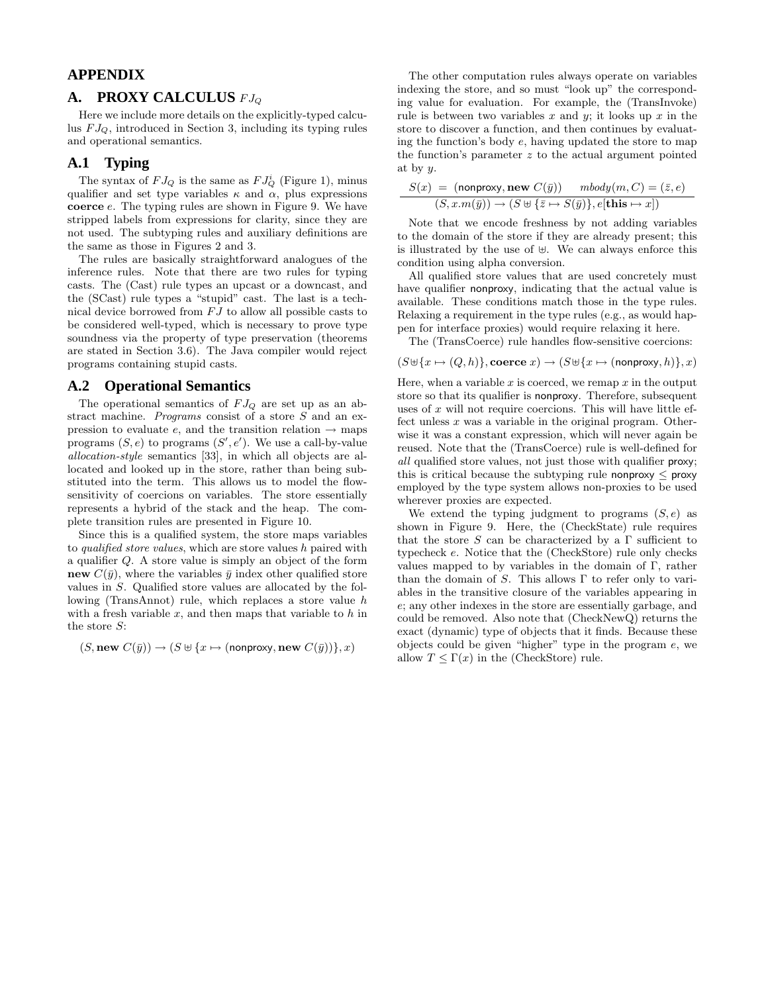## **APPENDIX**

## **A. PROXY CALCULUS** FJ<sub>O</sub>

Here we include more details on the explicitly-typed calculus  $FJ_Q$ , introduced in Section 3, including its typing rules and operational semantics.

## **A.1 Typing**

The syntax of  $FJ_Q$  is the same as  $FJ_Q^i$  (Figure 1), minus qualifier and set type variables  $\kappa$  and  $\alpha$ , plus expressions coerce e. The typing rules are shown in Figure 9. We have stripped labels from expressions for clarity, since they are not used. The subtyping rules and auxiliary definitions are the same as those in Figures 2 and 3.

The rules are basically straightforward analogues of the inference rules. Note that there are two rules for typing casts. The (Cast) rule types an upcast or a downcast, and the (SCast) rule types a "stupid" cast. The last is a technical device borrowed from  $FJ$  to allow all possible casts to be considered well-typed, which is necessary to prove type soundness via the property of type preservation (theorems are stated in Section 3.6). The Java compiler would reject programs containing stupid casts.

#### **A.2 Operational Semantics**

The operational semantics of  $FJ_Q$  are set up as an abstract machine. Programs consist of a store S and an expression to evaluate e, and the transition relation  $\rightarrow$  maps programs  $(S, e)$  to programs  $(S', e')$ . We use a call-by-value allocation-style semantics [33], in which all objects are allocated and looked up in the store, rather than being substituted into the term. This allows us to model the flowsensitivity of coercions on variables. The store essentially represents a hybrid of the stack and the heap. The complete transition rules are presented in Figure 10.

Since this is a qualified system, the store maps variables to qualified store values, which are store values h paired with a qualifier Q. A store value is simply an object of the form **new**  $C(\bar{y})$ , where the variables  $\bar{y}$  index other qualified store values in S. Qualified store values are allocated by the following (TransAnnot) rule, which replaces a store value h with a fresh variable  $x$ , and then maps that variable to  $h$  in the store S:

$$
(S, \text{new } C(\bar{y})) \to (S \uplus \{x \mapsto (\text{nonprov}), \text{new } C(\bar{y}))\}, x)
$$

The other computation rules always operate on variables indexing the store, and so must "look up" the corresponding value for evaluation. For example, the (TransInvoke) rule is between two variables  $x$  and  $y$ ; it looks up  $x$  in the store to discover a function, and then continues by evaluating the function's body e, having updated the store to map the function's parameter  $z$  to the actual argument pointed at by  $y$ .

$$
S(x) = (\text{nonproxy}, \text{new } C(\bar{y})) \quad \text{mbody}(m, C) = (\bar{z}, e)
$$

$$
(S, x.m(\bar{y})) \rightarrow (S \uplus {\bar{z}} \mapsto S(\bar{y}), e[\text{this} \mapsto x])
$$

Note that we encode freshness by not adding variables to the domain of the store if they are already present; this is illustrated by the use of  $\forall$ . We can always enforce this condition using alpha conversion.

All qualified store values that are used concretely must have qualifier nonproxy, indicating that the actual value is available. These conditions match those in the type rules. Relaxing a requirement in the type rules (e.g., as would happen for interface proxies) would require relaxing it here.

The (TransCoerce) rule handles flow-sensitive coercions:

## $(S\uplus \{x \mapsto (Q, h)\},$  coerce  $x) \to (S\uplus \{x \mapsto ($ nonproxy,  $h)\}, x)$

Here, when a variable x is coerced, we remap x in the output store so that its qualifier is nonproxy. Therefore, subsequent uses of  $x$  will not require coercions. This will have little effect unless  $x$  was a variable in the original program. Otherwise it was a constant expression, which will never again be reused. Note that the (TransCoerce) rule is well-defined for all qualified store values, not just those with qualifier proxy; this is critical because the subtyping rule nonproxy  $\leq$  proxy employed by the type system allows non-proxies to be used wherever proxies are expected.

We extend the typing judgment to programs  $(S, e)$  as shown in Figure 9. Here, the (CheckState) rule requires that the store  $S$  can be characterized by a  $\Gamma$  sufficient to typecheck e. Notice that the (CheckStore) rule only checks values mapped to by variables in the domain of Γ, rather than the domain of S. This allows  $\Gamma$  to refer only to variables in the transitive closure of the variables appearing in e; any other indexes in the store are essentially garbage, and could be removed. Also note that (CheckNewQ) returns the exact (dynamic) type of objects that it finds. Because these objects could be given "higher" type in the program e, we allow  $T \leq \Gamma(x)$  in the (CheckStore) rule.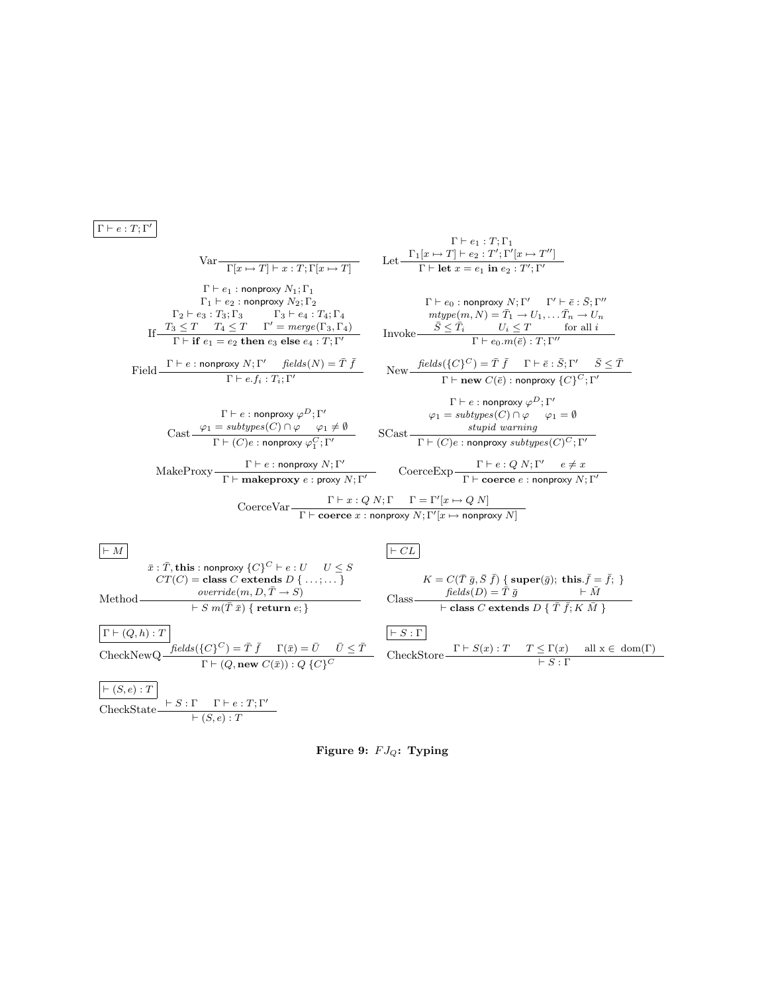$\boxed{\Gamma \vdash e : T; \Gamma'}$ 

Var  
\nVar  
\nVar  
\nVar  
\n
$$
\Gamma[x \mapsto T] \vdash x : T; T[x \mapsto T]
$$
  
\nLet  $\Gamma_1[x \mapsto T] \vdash e_2 : T'; T[x \mapsto T'']$   
\n $\Gamma \vdash e_1 : \text{nonprocy } N_1; \Gamma_1$   
\n $\Gamma \vdash e_1 : \text{nonprocy } N_2; \Gamma_2$   
\n $\Gamma \vdash e_2 : \text{nonprocy } N_1; \Gamma_1$   
\n $\Gamma \vdash e_3 : T_3; \Gamma_3$   
\n $\Gamma \vdash e_4 : T_4 \le T$   $\Gamma' = \text{merge}(\Gamma_3, \Gamma_4)$   
\n $\Gamma \vdash \Gamma$   
\n $\Gamma \vdash \Gamma$   
\n $\Gamma \vdash \Gamma$   
\n $\Gamma \vdash \Gamma$   
\n $\Gamma \vdash \Gamma$   
\n $\Gamma \vdash \Gamma$   
\n $\Gamma \vdash \Gamma$   
\n $\Gamma \vdash \Gamma$   
\n $\Gamma \vdash \Gamma$   
\n $\Gamma \vdash \Gamma$   
\n $\Gamma \vdash \Gamma$   
\n $\Gamma \vdash \Gamma$   
\n $\Gamma \vdash \Gamma$   
\n $\Gamma \vdash \Gamma$   
\n $\Gamma \vdash \Gamma$   
\n $\Gamma \vdash \Gamma$   
\n $\Gamma \vdash \Gamma$   
\n $\Gamma \vdash \Gamma$   
\n $\Gamma \vdash \Gamma$   
\n $\Gamma \vdash \Gamma$   
\n $\Gamma \vdash \Gamma$   
\n $\Gamma \vdash \Gamma$   
\n $\Gamma \vdash \Gamma$   
\n $\Gamma \vdash \Gamma$   
\n $\Gamma \vdash \Gamma$   
\n $\Gamma \vdash \Gamma$   
\n $\Gamma \vdash \Gamma$   
\n $\Gamma \vdash \Gamma$   
\n $\Gamma \vdash \Gamma$   
\n $\Gamma \vdash \Gamma$   
\n $\Gamma \vdash \Gamma$   
\n $\Gamma \vdash \Gamma$   
\n $\Gamma \vdash \Gamma$   
\n $\Gamma \vdash \Gamma$   
\n $\Gamma \vdash$ 

 $\hfill\ensuremath{\mathsf{F}}\xspace\left(S, e\right): T$ 

Figure 9:  $FJ_Q$ : Typing